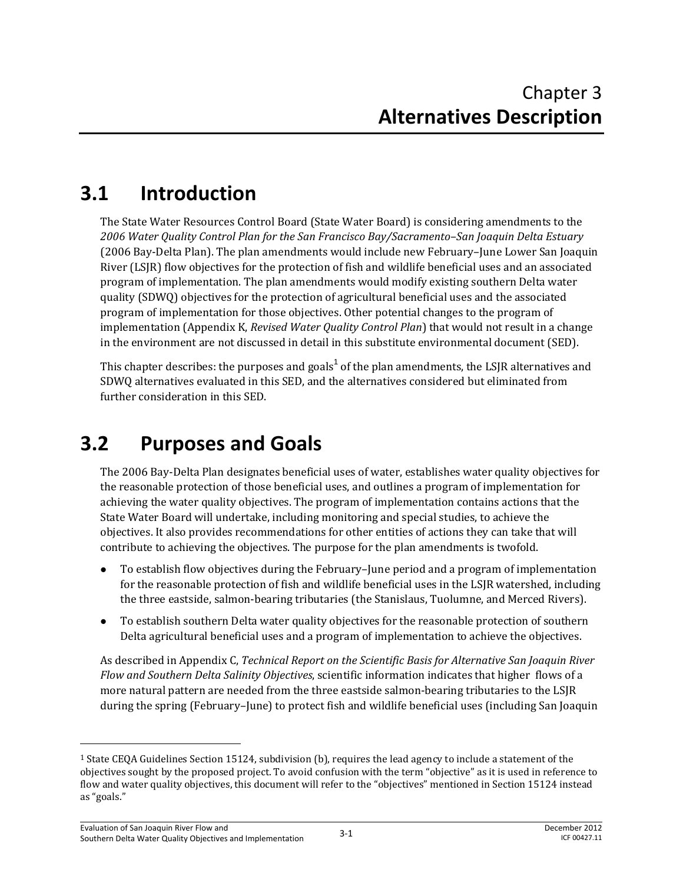# **3.1 Introduction**

The State Water Resources Control Board (State Water Board) is considering amendments to the *2006 Water Quality Control Plan for the San Francisco Bay/Sacramento–San Joaquin Delta Estuary*  (2006 Bay-Delta Plan). The plan amendments would include new February–June Lower San Joaquin River (LSJR) flow objectives for the protection of fish and wildlife beneficial uses and an associated program of implementation. The plan amendments would modify existing southern Delta water quality (SDWQ) objectives for the protection of agricultural beneficial uses and the associated program of implementation for those objectives. Other potential changes to the program of implementation (Appendix K, *Revised Water Quality Control Plan*) that would not result in a change in the environment are not discussed in detail in this substitute environmental document (SED).

This chapter describes: the purposes and goals<sup>1</sup> of the plan amendments, the LSJR alternatives and SDWQ alternatives evaluated in this SED, and the alternatives considered but eliminated from further consideration in this SED.

# **3.2 Purposes and Goals**

The 2006 Bay-Delta Plan designates beneficial uses of water, establishes water quality objectives for the reasonable protection of those beneficial uses, and outlines a program of implementation for achieving the water quality objectives. The program of implementation contains actions that the State Water Board will undertake, including monitoring and special studies, to achieve the objectives. It also provides recommendations for other entities of actions they can take that will contribute to achieving the objectives. The purpose for the plan amendments is twofold.

- To establish flow objectives during the February–June period and a program of implementation for the reasonable protection of fish and wildlife beneficial uses in the LSJR watershed, including the three eastside, salmon-bearing tributaries (the Stanislaus, Tuolumne, and Merced Rivers).
- To establish southern Delta water quality objectives for the reasonable protection of southern Delta agricultural beneficial uses and a program of implementation to achieve the objectives.

As described in Appendix C, *Technical Report on the Scientific Basis for Alternative San Joaquin River Flow and Southern Delta Salinity Objectives*, scientific information indicates that higher flows of a more natural pattern are needed from the three eastside salmon-bearing tributaries to the LSJR during the spring (February–June) to protect fish and wildlife beneficial uses (including San Joaquin

 $\overline{\phantom{0}}$ 

<sup>1</sup> State CEQA Guidelines Section 15124, subdivision (b), requires the lead agency to include a statement of the objectives sought by the proposed project. To avoid confusion with the term "objective" as it is used in reference to flow and water quality objectives, this document will refer to the "objectives" mentioned in Section 15124 instead as "goals."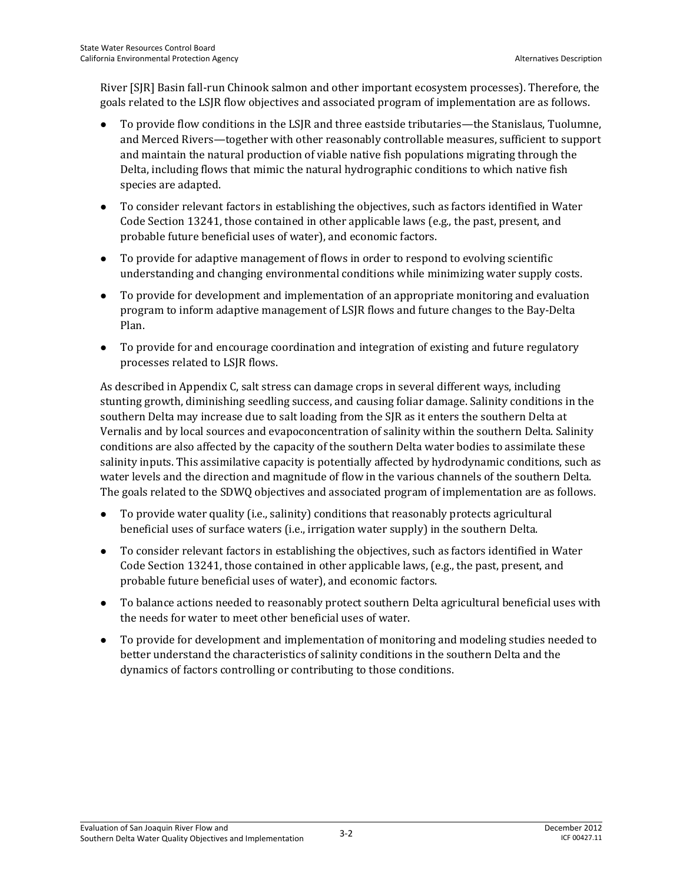River [SJR] Basin fall-run Chinook salmon and other important ecosystem processes). Therefore, the goals related to the LSJR flow objectives and associated program of implementation are as follows.

- To provide flow conditions in the LSJR and three eastside tributaries—the Stanislaus, Tuolumne, and Merced Rivers—together with other reasonably controllable measures, sufficient to support and maintain the natural production of viable native fish populations migrating through the Delta, including flows that mimic the natural hydrographic conditions to which native fish species are adapted.
- To consider relevant factors in establishing the objectives, such as factors identified in Water Code Section 13241, those contained in other applicable laws (e.g., the past, present, and probable future beneficial uses of water), and economic factors.
- To provide for adaptive management of flows in order to respond to evolving scientific understanding and changing environmental conditions while minimizing water supply costs.
- To provide for development and implementation of an appropriate monitoring and evaluation program to inform adaptive management of LSJR flows and future changes to the Bay-Delta Plan.
- To provide for and encourage coordination and integration of existing and future regulatory processes related to LSJR flows.

As described in Appendix C, salt stress can damage crops in several different ways, including stunting growth, diminishing seedling success, and causing foliar damage. Salinity conditions in the southern Delta may increase due to salt loading from the SJR as it enters the southern Delta at Vernalis and by local sources and evapoconcentration of salinity within the southern Delta. Salinity conditions are also affected by the capacity of the southern Delta water bodies to assimilate these salinity inputs. This assimilative capacity is potentially affected by hydrodynamic conditions, such as water levels and the direction and magnitude of flow in the various channels of the southern Delta. The goals related to the SDWQ objectives and associated program of implementation are as follows.

- To provide water quality (i.e., salinity) conditions that reasonably protects agricultural beneficial uses of surface waters (i.e., irrigation water supply) in the southern Delta.
- To consider relevant factors in establishing the objectives, such as factors identified in Water Code Section 13241, those contained in other applicable laws, (e.g., the past, present, and probable future beneficial uses of water), and economic factors.
- To balance actions needed to reasonably protect southern Delta agricultural beneficial uses with the needs for water to meet other beneficial uses of water.
- To provide for development and implementation of monitoring and modeling studies needed to better understand the characteristics of salinity conditions in the southern Delta and the dynamics of factors controlling or contributing to those conditions.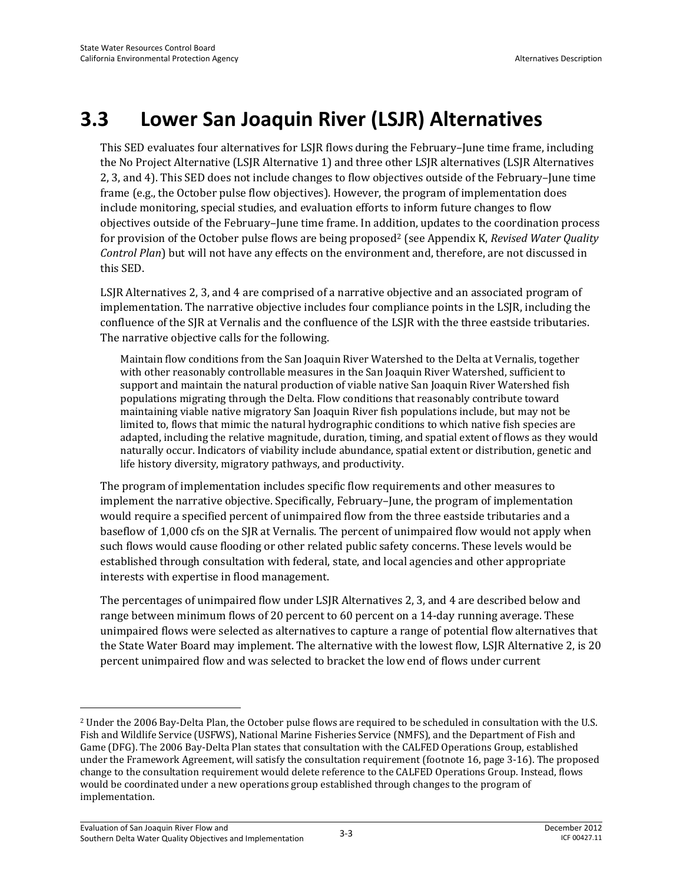# **3.3 Lower San Joaquin River (LSJR) Alternatives**

This SED evaluates four alternatives for LSJR flows during the February–June time frame, including the No Project Alternative (LSJR Alternative 1) and three other LSJR alternatives (LSJR Alternatives 2, 3, and 4). This SED does not include changes to flow objectives outside of the February–June time frame (e.g., the October pulse flow objectives). However, the program of implementation does include monitoring, special studies, and evaluation efforts to inform future changes to flow objectives outside of the February–June time frame. In addition, updates to the coordination process for provision of the October pulse flows are being proposed2 (see Appendix K, *Revised Water Quality Control Plan*) but will not have any effects on the environment and, therefore, are not discussed in this SED.

LSJR Alternatives 2, 3, and 4 are comprised of a narrative objective and an associated program of implementation. The narrative objective includes four compliance points in the LSJR, including the confluence of the SJR at Vernalis and the confluence of the LSJR with the three eastside tributaries. The narrative objective calls for the following.

Maintain flow conditions from the San Joaquin River Watershed to the Delta at Vernalis, together with other reasonably controllable measures in the San Joaquin River Watershed, sufficient to support and maintain the natural production of viable native San Joaquin River Watershed fish populations migrating through the Delta. Flow conditions that reasonably contribute toward maintaining viable native migratory San Joaquin River fish populations include, but may not be limited to, flows that mimic the natural hydrographic conditions to which native fish species are adapted, including the relative magnitude, duration, timing, and spatial extent of flows as they would naturally occur. Indicators of viability include abundance, spatial extent or distribution, genetic and life history diversity, migratory pathways, and productivity.

The program of implementation includes specific flow requirements and other measures to implement the narrative objective. Specifically, February–June, the program of implementation would require a specified percent of unimpaired flow from the three eastside tributaries and a baseflow of 1,000 cfs on the SJR at Vernalis. The percent of unimpaired flow would not apply when such flows would cause flooding or other related public safety concerns. These levels would be established through consultation with federal, state, and local agencies and other appropriate interests with expertise in flood management.

The percentages of unimpaired flow under LSJR Alternatives 2, 3, and 4 are described below and range between minimum flows of 20 percent to 60 percent on a 14-day running average. These unimpaired flows were selected as alternatives to capture a range of potential flow alternatives that the State Water Board may implement. The alternative with the lowest flow, LSJR Alternative 2, is 20 percent unimpaired flow and was selected to bracket the low end of flows under current

l

<sup>2</sup> Under the 2006 Bay-Delta Plan, the October pulse flows are required to be scheduled in consultation with the U.S. Fish and Wildlife Service (USFWS), National Marine Fisheries Service (NMFS), and the Department of Fish and Game (DFG). The 2006 Bay-Delta Plan states that consultation with the CALFED Operations Group, established under the Framework Agreement, will satisfy the consultation requirement (footnote 16, page 3-16). The proposed change to the consultation requirement would delete reference to the CALFED Operations Group. Instead, flows would be coordinated under a new operations group established through changes to the program of implementation.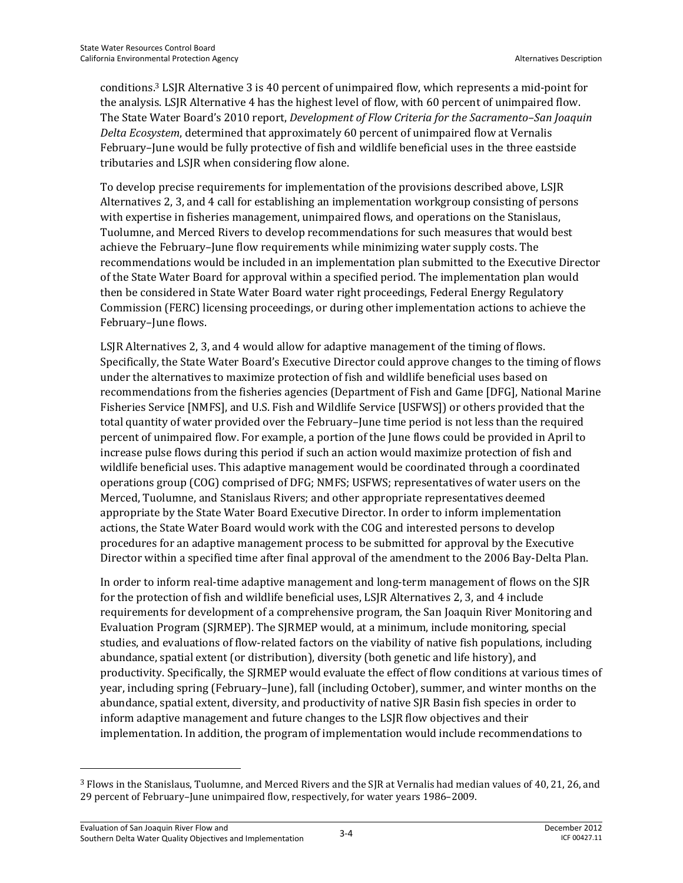conditions.3 LSJR Alternative 3 is 40 percent of unimpaired flow, which represents a mid-point for the analysis. LSJR Alternative 4 has the highest level of flow, with 60 percent of unimpaired flow. The State Water Board's 2010 report, *Development of Flow Criteria for the Sacramento–San Joaquin Delta Ecosystem*, determined that approximately 60 percent of unimpaired flow at Vernalis February–June would be fully protective of fish and wildlife beneficial uses in the three eastside tributaries and LSJR when considering flow alone.

To develop precise requirements for implementation of the provisions described above, LSJR Alternatives 2, 3, and 4 call for establishing an implementation workgroup consisting of persons with expertise in fisheries management, unimpaired flows, and operations on the Stanislaus, Tuolumne, and Merced Rivers to develop recommendations for such measures that would best achieve the February–June flow requirements while minimizing water supply costs. The recommendations would be included in an implementation plan submitted to the Executive Director of the State Water Board for approval within a specified period. The implementation plan would then be considered in State Water Board water right proceedings, Federal Energy Regulatory Commission (FERC) licensing proceedings, or during other implementation actions to achieve the February–June flows.

LSJR Alternatives 2, 3, and 4 would allow for adaptive management of the timing of flows. Specifically, the State Water Board's Executive Director could approve changes to the timing of flows under the alternatives to maximize protection of fish and wildlife beneficial uses based on recommendations from the fisheries agencies (Department of Fish and Game [DFG], National Marine Fisheries Service [NMFS], and U.S. Fish and Wildlife Service [USFWS]) or others provided that the total quantity of water provided over the February–June time period is not less than the required percent of unimpaired flow. For example, a portion of the June flows could be provided in April to increase pulse flows during this period if such an action would maximize protection of fish and wildlife beneficial uses. This adaptive management would be coordinated through a coordinated operations group (COG) comprised of DFG; NMFS; USFWS; representatives of water users on the Merced, Tuolumne, and Stanislaus Rivers; and other appropriate representatives deemed appropriate by the State Water Board Executive Director. In order to inform implementation actions, the State Water Board would work with the COG and interested persons to develop procedures for an adaptive management process to be submitted for approval by the Executive Director within a specified time after final approval of the amendment to the 2006 Bay-Delta Plan.

In order to inform real-time adaptive management and long-term management of flows on the SJR for the protection of fish and wildlife beneficial uses, LSJR Alternatives 2, 3, and 4 include requirements for development of a comprehensive program, the San Joaquin River Monitoring and Evaluation Program (SJRMEP). The SJRMEP would, at a minimum, include monitoring, special studies, and evaluations of flow-related factors on the viability of native fish populations, including abundance, spatial extent (or distribution), diversity (both genetic and life history), and productivity. Specifically, the SJRMEP would evaluate the effect of flow conditions at various times of year, including spring (February–June), fall (including October), summer, and winter months on the abundance, spatial extent, diversity, and productivity of native SJR Basin fish species in order to inform adaptive management and future changes to the LSJR flow objectives and their implementation. In addition, the program of implementation would include recommendations to

 $\overline{a}$ 

<sup>3</sup> Flows in the Stanislaus, Tuolumne, and Merced Rivers and the SJR at Vernalis had median values of 40, 21, 26, and 29 percent of February–June unimpaired flow, respectively, for water years 1986–2009.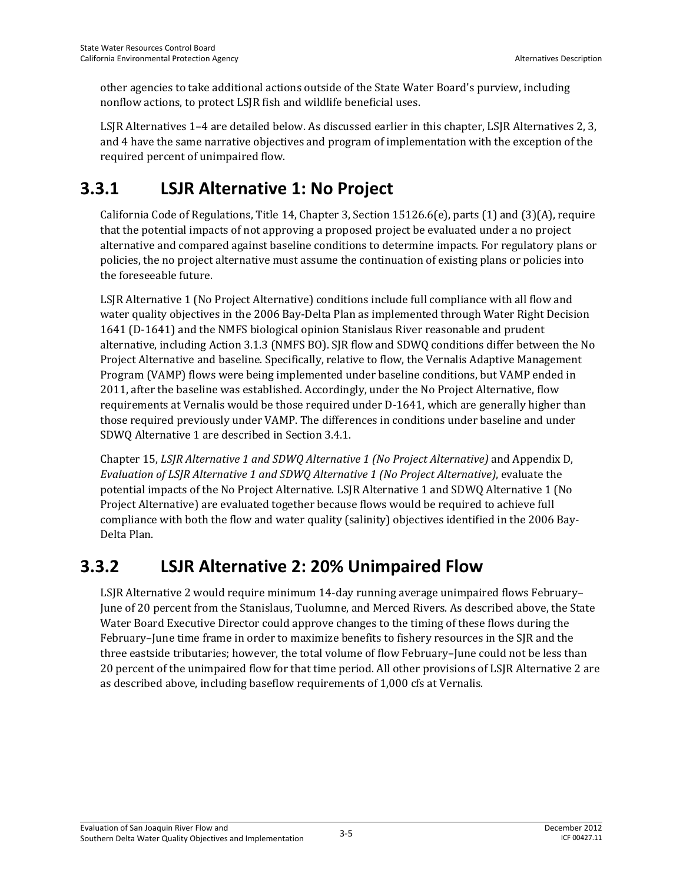other agencies to take additional actions outside of the State Water Board's purview, including nonflow actions, to protect LSJR fish and wildlife beneficial uses.

LSJR Alternatives 1–4 are detailed below. As discussed earlier in this chapter, LSJR Alternatives 2, 3, and 4 have the same narrative objectives and program of implementation with the exception of the required percent of unimpaired flow.

# **3.3.1 LSJR Alternative 1: No Project**

California Code of Regulations, Title 14, Chapter 3, Section 15126.6(e), parts (1) and (3)(A), require that the potential impacts of not approving a proposed project be evaluated under a no project alternative and compared against baseline conditions to determine impacts. For regulatory plans or policies, the no project alternative must assume the continuation of existing plans or policies into the foreseeable future.

LSJR Alternative 1 (No Project Alternative) conditions include full compliance with all flow and water quality objectives in the 2006 Bay-Delta Plan as implemented through Water Right Decision 1641 (D-1641) and the NMFS biological opinion Stanislaus River reasonable and prudent alternative, including Action 3.1.3 (NMFS BO). SJR flow and SDWQ conditions differ between the No Project Alternative and baseline. Specifically, relative to flow, the Vernalis Adaptive Management Program (VAMP) flows were being implemented under baseline conditions, but VAMP ended in 2011, after the baseline was established. Accordingly, under the No Project Alternative, flow requirements at Vernalis would be those required under D-1641, which are generally higher than those required previously under VAMP. The differences in conditions under baseline and under SDWQ Alternative 1 are described in Section 3.4.1.

Chapter 15, *LSJR Alternative 1 and SDWQ Alternative 1 (No Project Alternative)* and Appendix D, *Evaluation of LSJR Alternative 1 and SDWQ Alternative 1 (No Project Alternative)*, evaluate the potential impacts of the No Project Alternative. LSJR Alternative 1 and SDWQ Alternative 1 (No Project Alternative) are evaluated together because flows would be required to achieve full compliance with both the flow and water quality (salinity) objectives identified in the 2006 Bay-Delta Plan.

## **3.3.2 LSJR Alternative 2: 20% Unimpaired Flow**

LSJR Alternative 2 would require minimum 14-day running average unimpaired flows February– June of 20 percent from the Stanislaus, Tuolumne, and Merced Rivers. As described above, the State Water Board Executive Director could approve changes to the timing of these flows during the February–June time frame in order to maximize benefits to fishery resources in the SJR and the three eastside tributaries; however, the total volume of flow February–June could not be less than 20 percent of the unimpaired flow for that time period. All other provisions of LSJR Alternative 2 are as described above, including baseflow requirements of 1,000 cfs at Vernalis.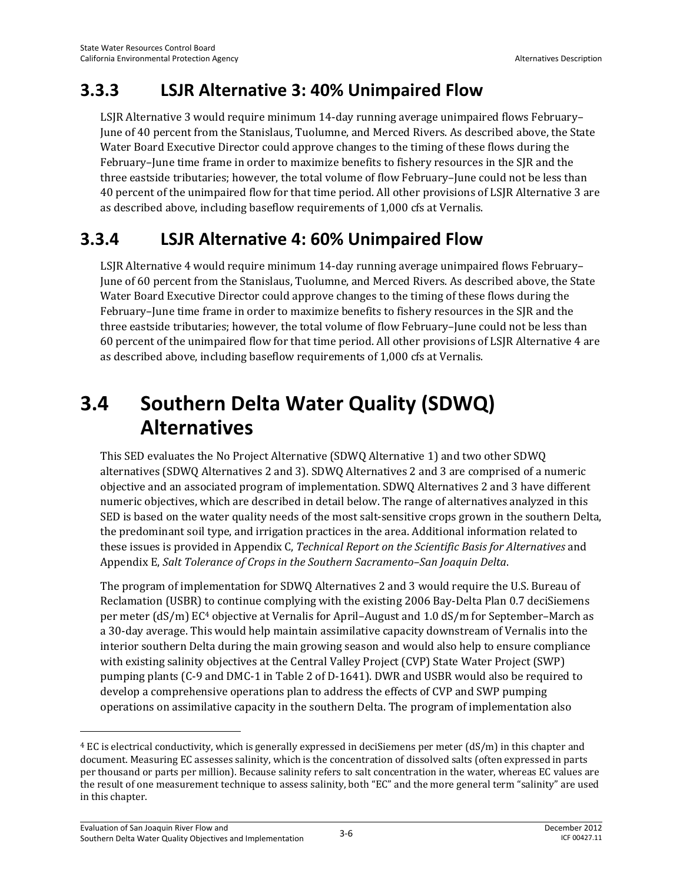## **3.3.3 LSJR Alternative 3: 40% Unimpaired Flow**

LSJR Alternative 3 would require minimum 14-day running average unimpaired flows February– June of 40 percent from the Stanislaus, Tuolumne, and Merced Rivers. As described above, the State Water Board Executive Director could approve changes to the timing of these flows during the February–June time frame in order to maximize benefits to fishery resources in the SJR and the three eastside tributaries; however, the total volume of flow February–June could not be less than 40 percent of the unimpaired flow for that time period. All other provisions of LSJR Alternative 3 are as described above, including baseflow requirements of 1,000 cfs at Vernalis.

## **3.3.4 LSJR Alternative 4: 60% Unimpaired Flow**

LSJR Alternative 4 would require minimum 14-day running average unimpaired flows February– June of 60 percent from the Stanislaus, Tuolumne, and Merced Rivers. As described above, the State Water Board Executive Director could approve changes to the timing of these flows during the February–June time frame in order to maximize benefits to fishery resources in the SJR and the three eastside tributaries; however, the total volume of flow February–June could not be less than 60 percent of the unimpaired flow for that time period. All other provisions of LSJR Alternative 4 are as described above, including baseflow requirements of 1,000 cfs at Vernalis.

# **3.4 Southern Delta Water Quality (SDWQ) Alternatives**

This SED evaluates the No Project Alternative (SDWQ Alternative 1) and two other SDWQ alternatives (SDWQ Alternatives 2 and 3). SDWQ Alternatives 2 and 3 are comprised of a numeric objective and an associated program of implementation. SDWQ Alternatives 2 and 3 have different numeric objectives, which are described in detail below. The range of alternatives analyzed in this SED is based on the water quality needs of the most salt-sensitive crops grown in the southern Delta, the predominant soil type, and irrigation practices in the area. Additional information related to these issues is provided in Appendix C, *Technical Report on the Scientific Basis for Alternatives* and Appendix E, *Salt Tolerance of Crops in the Southern Sacramento–San Joaquin Delta*.

The program of implementation for SDWQ Alternatives 2 and 3 would require the U.S. Bureau of Reclamation (USBR) to continue complying with the existing 2006 Bay-Delta Plan 0.7 deciSiemens per meter (dS/m) EC4 objective at Vernalis for April–August and 1.0 dS/m for September–March as a 30-day average. This would help maintain assimilative capacity downstream of Vernalis into the interior southern Delta during the main growing season and would also help to ensure compliance with existing salinity objectives at the Central Valley Project (CVP) State Water Project (SWP) pumping plants (C-9 and DMC-1 in Table 2 of D-1641). DWR and USBR would also be required to develop a comprehensive operations plan to address the effects of CVP and SWP pumping operations on assimilative capacity in the southern Delta. The program of implementation also

l

 $4$  EC is electrical conductivity, which is generally expressed in deciSiemens per meter (dS/m) in this chapter and document. Measuring EC assesses salinity, which is the concentration of dissolved salts (often expressed in parts per thousand or parts per million). Because salinity refers to salt concentration in the water, whereas EC values are the result of one measurement technique to assess salinity, both "EC" and the more general term "salinity" are used in this chapter.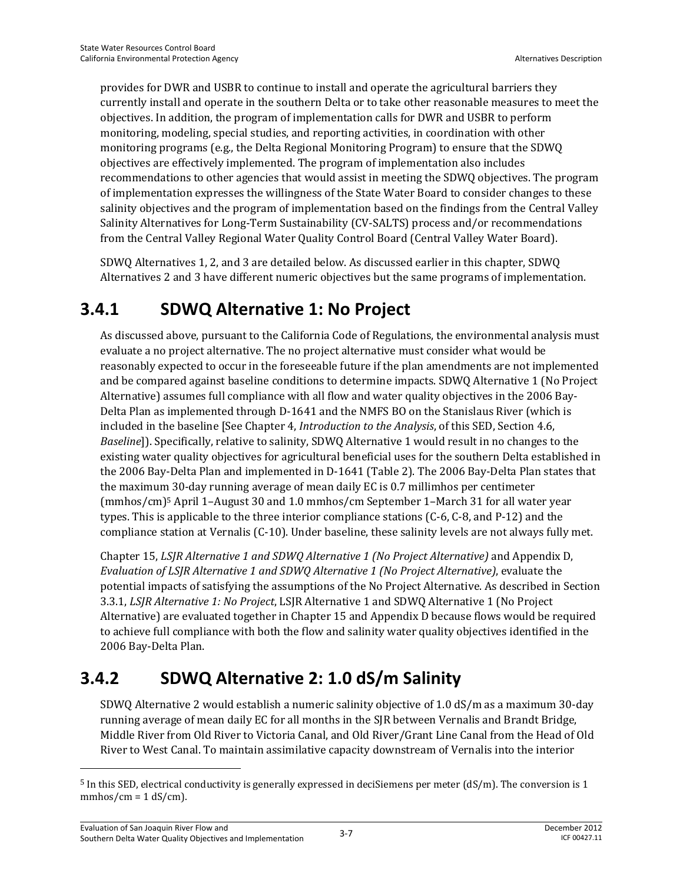provides for DWR and USBR to continue to install and operate the agricultural barriers they currently install and operate in the southern Delta or to take other reasonable measures to meet the objectives. In addition, the program of implementation calls for DWR and USBR to perform monitoring, modeling, special studies, and reporting activities, in coordination with other monitoring programs (e.g., the Delta Regional Monitoring Program) to ensure that the SDWQ objectives are effectively implemented. The program of implementation also includes recommendations to other agencies that would assist in meeting the SDWQ objectives. The program of implementation expresses the willingness of the State Water Board to consider changes to these salinity objectives and the program of implementation based on the findings from the Central Valley Salinity Alternatives for Long-Term Sustainability (CV-SALTS) process and/or recommendations from the Central Valley Regional Water Quality Control Board (Central Valley Water Board).

SDWQ Alternatives 1, 2, and 3 are detailed below. As discussed earlier in this chapter, SDWQ Alternatives 2 and 3 have different numeric objectives but the same programs of implementation.

# **3.4.1 SDWQ Alternative 1: No Project**

As discussed above, pursuant to the California Code of Regulations, the environmental analysis must evaluate a no project alternative. The no project alternative must consider what would be reasonably expected to occur in the foreseeable future if the plan amendments are not implemented and be compared against baseline conditions to determine impacts. SDWQ Alternative 1 (No Project Alternative) assumes full compliance with all flow and water quality objectives in the 2006 Bay-Delta Plan as implemented through D-1641 and the NMFS BO on the Stanislaus River (which is included in the baseline [See Chapter 4, *Introduction to the Analysis*, of this SED, Section 4.6, *Baseline*]). Specifically, relative to salinity, SDWQ Alternative 1 would result in no changes to the existing water quality objectives for agricultural beneficial uses for the southern Delta established in the 2006 Bay-Delta Plan and implemented in D-1641 (Table 2). The 2006 Bay-Delta Plan states that the maximum 30-day running average of mean daily EC is 0.7 millimhos per centimeter (mmhos/cm)5 April 1–August 30 and 1.0 mmhos/cm September 1–March 31 for all water year types. This is applicable to the three interior compliance stations (C-6, C-8, and P-12) and the compliance station at Vernalis (C-10). Under baseline, these salinity levels are not always fully met.

Chapter 15, *LSJR Alternative 1 and SDWQ Alternative 1 (No Project Alternative)* and Appendix D, *Evaluation of LSJR Alternative 1 and SDWQ Alternative 1 (No Project Alternative)*, evaluate the potential impacts of satisfying the assumptions of the No Project Alternative. As described in Section 3.3.1, *LSJR Alternative 1: No Project*, LSJR Alternative 1 and SDWQ Alternative 1 (No Project Alternative) are evaluated together in Chapter 15 and Appendix D because flows would be required to achieve full compliance with both the flow and salinity water quality objectives identified in the 2006 Bay-Delta Plan.

# **3.4.2 SDWQ Alternative 2: 1.0 dS/m Salinity**

SDWQ Alternative 2 would establish a numeric salinity objective of 1.0 dS/m as a maximum 30-day running average of mean daily EC for all months in the SJR between Vernalis and Brandt Bridge, Middle River from Old River to Victoria Canal, and Old River/Grant Line Canal from the Head of Old River to West Canal. To maintain assimilative capacity downstream of Vernalis into the interior

 $\overline{a}$ 

 $5$  In this SED, electrical conductivity is generally expressed in deciSiemens per meter (dS/m). The conversion is 1  $mmhos/cm = 1 dS/cm$ ).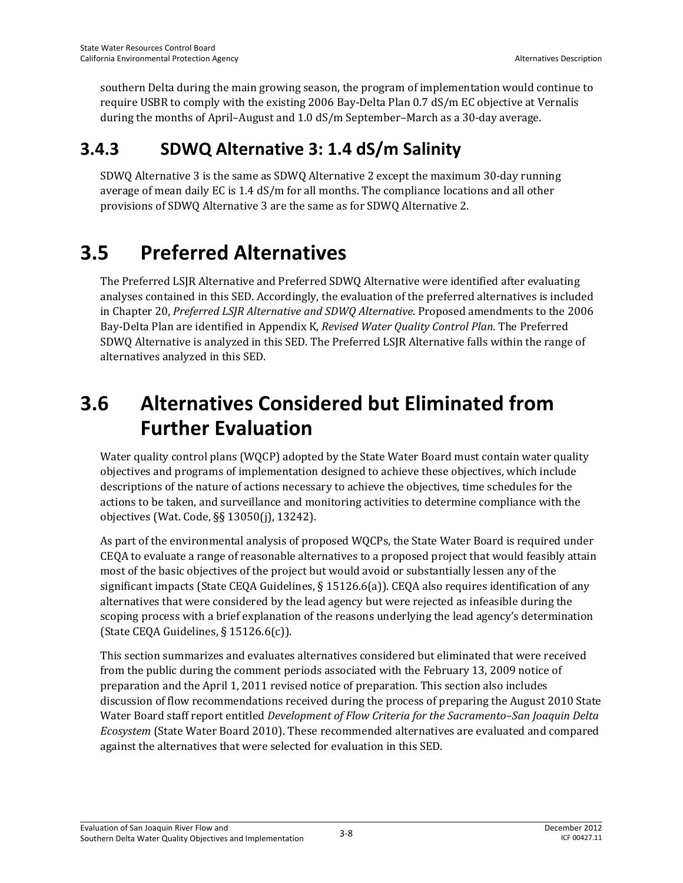southern Delta during the main growing season, the program of implementation would continue to require USBR to comply with the existing 2006 Bay-Delta Plan 0.7 dS/m EC objective at Vernalis during the months of April–August and 1.0 dS/m September–March as a 30-day average.

## **3.4.3 SDWQ Alternative 3: 1.4 dS/m Salinity**

SDWQ Alternative 3 is the same as SDWQ Alternative 2 except the maximum 30-day running average of mean daily EC is 1.4 dS/m for all months. The compliance locations and all other provisions of SDWQ Alternative 3 are the same as for SDWQ Alternative 2.

# **3.5 Preferred Alternatives**

The Preferred LSJR Alternative and Preferred SDWQ Alternative were identified after evaluating analyses contained in this SED. Accordingly, the evaluation of the preferred alternatives is included in Chapter 20, *Preferred LSJR Alternative and SDWQ Alternative*. Proposed amendments to the 2006 Bay-Delta Plan are identified in Appendix K, *Revised Water Quality Control Plan*. The Preferred SDWQ Alternative is analyzed in this SED. The Preferred LSJR Alternative falls within the range of alternatives analyzed in this SED.

# **3.6 Alternatives Considered but Eliminated from Further Evaluation**

Water quality control plans (WQCP) adopted by the State Water Board must contain water quality objectives and programs of implementation designed to achieve these objectives, which include descriptions of the nature of actions necessary to achieve the objectives, time schedules for the actions to be taken, and surveillance and monitoring activities to determine compliance with the objectives (Wat. Code, §§ 13050(j), 13242).

As part of the environmental analysis of proposed WQCPs, the State Water Board is required under CEQA to evaluate a range of reasonable alternatives to a proposed project that would feasibly attain most of the basic objectives of the project but would avoid or substantially lessen any of the significant impacts (State CEQA Guidelines,  $\S$  15126.6(a)). CEQA also requires identification of any alternatives that were considered by the lead agency but were rejected as infeasible during the scoping process with a brief explanation of the reasons underlying the lead agency's determination (State CEQA Guidelines, § 15126.6(c)).

This section summarizes and evaluates alternatives considered but eliminated that were received from the public during the comment periods associated with the February 13, 2009 notice of preparation and the April 1, 2011 revised notice of preparation. This section also includes discussion of flow recommendations received during the process of preparing the August 2010 State Water Board staff report entitled *Development of Flow Criteria for the Sacramento–San Joaquin Delta Ecosystem* (State Water Board 2010). These recommended alternatives are evaluated and compared against the alternatives that were selected for evaluation in this SED.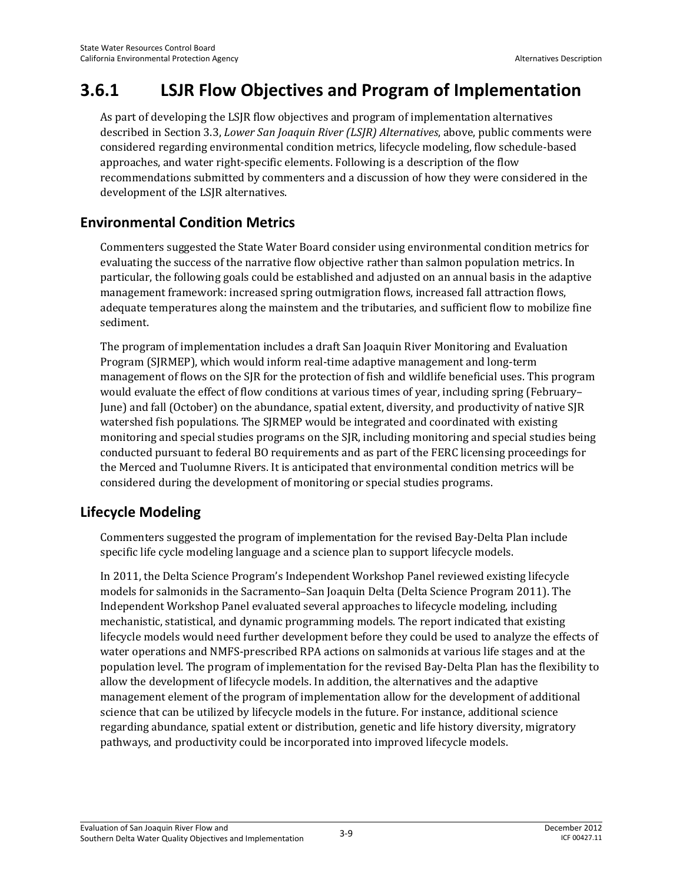## **3.6.1 LSJR Flow Objectives and Program of Implementation**

As part of developing the LSJR flow objectives and program of implementation alternatives described in Section 3.3, *Lower San Joaquin River (LSJR) Alternatives*, above, public comments were considered regarding environmental condition metrics, lifecycle modeling, flow schedule-based approaches, and water right-specific elements. Following is a description of the flow recommendations submitted by commenters and a discussion of how they were considered in the development of the LSJR alternatives.

## **Environmental Condition Metrics**

Commenters suggested the State Water Board consider using environmental condition metrics for evaluating the success of the narrative flow objective rather than salmon population metrics. In particular, the following goals could be established and adjusted on an annual basis in the adaptive management framework: increased spring outmigration flows, increased fall attraction flows, adequate temperatures along the mainstem and the tributaries, and sufficient flow to mobilize fine sediment.

The program of implementation includes a draft San Joaquin River Monitoring and Evaluation Program (SJRMEP), which would inform real-time adaptive management and long-term management of flows on the SJR for the protection of fish and wildlife beneficial uses. This program would evaluate the effect of flow conditions at various times of year, including spring (February– June) and fall (October) on the abundance, spatial extent, diversity, and productivity of native SJR watershed fish populations. The SJRMEP would be integrated and coordinated with existing monitoring and special studies programs on the SJR, including monitoring and special studies being conducted pursuant to federal BO requirements and as part of the FERC licensing proceedings for the Merced and Tuolumne Rivers. It is anticipated that environmental condition metrics will be considered during the development of monitoring or special studies programs.

## **Lifecycle Modeling**

Commenters suggested the program of implementation for the revised Bay-Delta Plan include specific life cycle modeling language and a science plan to support lifecycle models.

In 2011, the Delta Science Program's Independent Workshop Panel reviewed existing lifecycle models for salmonids in the Sacramento–San Joaquin Delta (Delta Science Program 2011). The Independent Workshop Panel evaluated several approaches to lifecycle modeling, including mechanistic, statistical, and dynamic programming models. The report indicated that existing lifecycle models would need further development before they could be used to analyze the effects of water operations and NMFS-prescribed RPA actions on salmonids at various life stages and at the population level. The program of implementation for the revised Bay-Delta Plan has the flexibility to allow the development of lifecycle models. In addition, the alternatives and the adaptive management element of the program of implementation allow for the development of additional science that can be utilized by lifecycle models in the future. For instance, additional science regarding abundance, spatial extent or distribution, genetic and life history diversity, migratory pathways, and productivity could be incorporated into improved lifecycle models.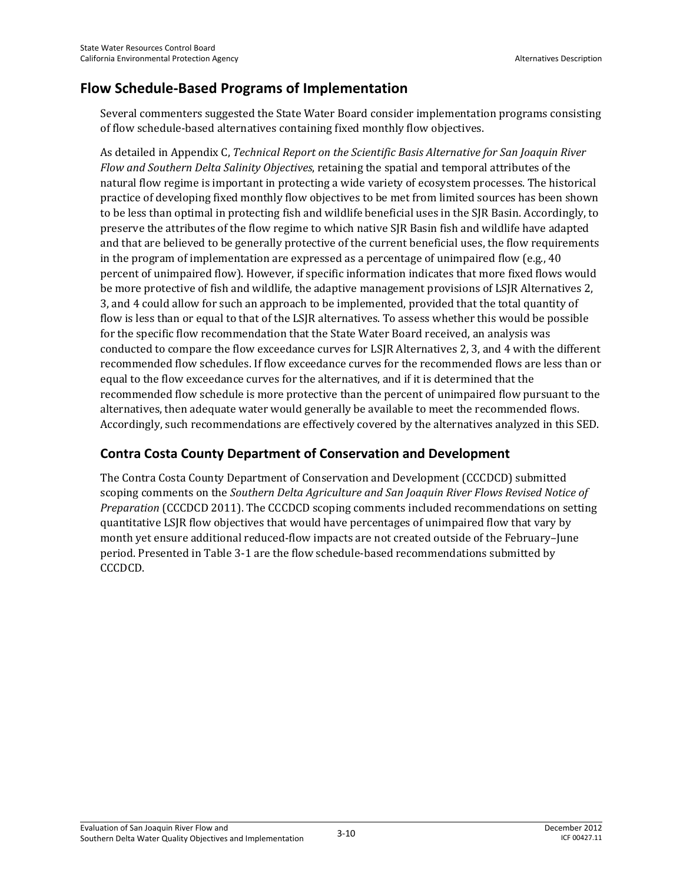## **Flow Schedule-Based Programs of Implementation**

Several commenters suggested the State Water Board consider implementation programs consisting of flow schedule-based alternatives containing fixed monthly flow objectives.

As detailed in Appendix C, *Technical Report on the Scientific Basis Alternative for San Joaquin River Flow and Southern Delta Salinity Objectives*, retaining the spatial and temporal attributes of the natural flow regime is important in protecting a wide variety of ecosystem processes. The historical practice of developing fixed monthly flow objectives to be met from limited sources has been shown to be less than optimal in protecting fish and wildlife beneficial uses in the SJR Basin. Accordingly, to preserve the attributes of the flow regime to which native SJR Basin fish and wildlife have adapted and that are believed to be generally protective of the current beneficial uses, the flow requirements in the program of implementation are expressed as a percentage of unimpaired flow (e.g.,  $40$ ) percent of unimpaired flow). However, if specific information indicates that more fixed flows would be more protective of fish and wildlife, the adaptive management provisions of LSJR Alternatives 2, 3, and 4 could allow for such an approach to be implemented, provided that the total quantity of flow is less than or equal to that of the LSJR alternatives. To assess whether this would be possible for the specific flow recommendation that the State Water Board received, an analysis was conducted to compare the flow exceedance curves for LSJR Alternatives 2, 3, and 4 with the different recommended flow schedules. If flow exceedance curves for the recommended flows are less than or equal to the flow exceedance curves for the alternatives, and if it is determined that the recommended flow schedule is more protective than the percent of unimpaired flow pursuant to the alternatives, then adequate water would generally be available to meet the recommended flows. Accordingly, such recommendations are effectively covered by the alternatives analyzed in this SED.

## **Contra Costa County Department of Conservation and Development**

The Contra Costa County Department of Conservation and Development (CCCDCD) submitted scoping comments on the *Southern Delta Agriculture and San Joaquin River Flows Revised Notice of Preparation* (CCCDCD 2011). The CCCDCD scoping comments included recommendations on setting quantitative LSJR flow objectives that would have percentages of unimpaired flow that vary by month yet ensure additional reduced-flow impacts are not created outside of the February–June period. Presented in Table 3-1 are the flow schedule-based recommendations submitted by CCCDCD.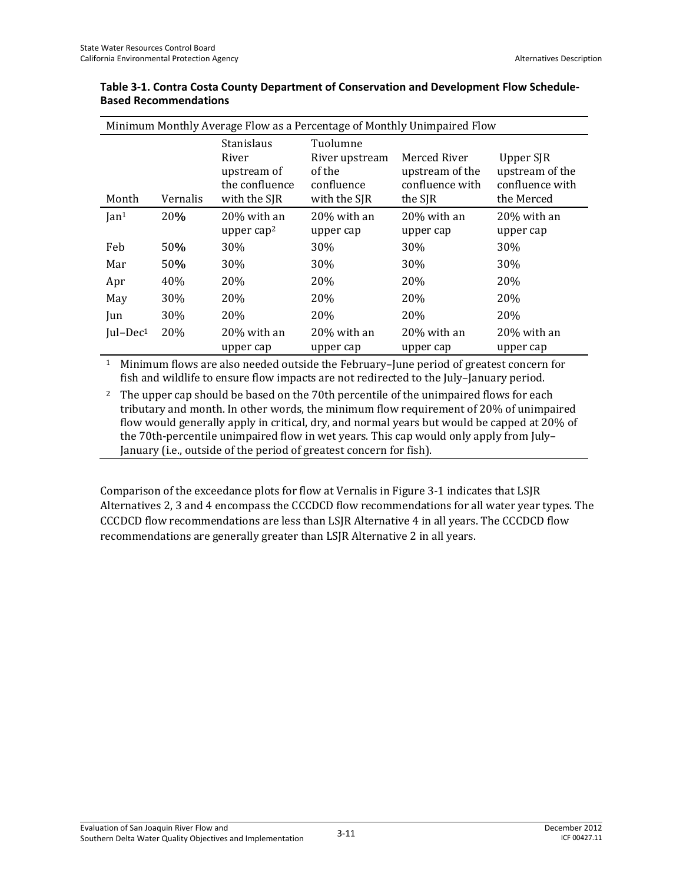|                | Minimum Monthly Average Flow as a Percentage of Monthly Unimpaired Flow |                                                                             |                                                                    |                                                               |                                                               |  |  |  |  |
|----------------|-------------------------------------------------------------------------|-----------------------------------------------------------------------------|--------------------------------------------------------------------|---------------------------------------------------------------|---------------------------------------------------------------|--|--|--|--|
| Month          | Vernalis                                                                | <b>Stanislaus</b><br>River<br>upstream of<br>the confluence<br>with the SJR | Tuolumne<br>River upstream<br>of the<br>confluence<br>with the SJR | Merced River<br>upstream of the<br>confluence with<br>the SJR | Upper SJR<br>upstream of the<br>confluence with<br>the Merced |  |  |  |  |
| $\text{Ian}^1$ | 20%                                                                     | 20% with an                                                                 | 20% with an                                                        | 20% with an                                                   | 20% with an                                                   |  |  |  |  |
|                |                                                                         | upper cap <sup>2</sup>                                                      | upper cap                                                          | upper cap                                                     | upper cap                                                     |  |  |  |  |
| Feb            | 50%                                                                     | 30%                                                                         | 30%                                                                | 30%                                                           | 30%                                                           |  |  |  |  |
| Mar            | 50%                                                                     | 30%                                                                         | <b>30%</b>                                                         | 30%                                                           | <b>30%</b>                                                    |  |  |  |  |
| Apr            | 40%                                                                     | 20%                                                                         | <b>20%</b>                                                         | <b>20%</b>                                                    | <b>20%</b>                                                    |  |  |  |  |
| May            | 30%                                                                     | 20%                                                                         | 20%                                                                | 20%                                                           | 20%                                                           |  |  |  |  |
| Jun            | 30%                                                                     | 20%                                                                         | <b>20%</b>                                                         | 20%                                                           | <b>20%</b>                                                    |  |  |  |  |
| $ ul-Dec1$     | 20%                                                                     | 20% with an<br>upper cap                                                    | 20% with an<br>upper cap                                           | 20% with an<br>upper cap                                      | 20% with an<br>upper cap                                      |  |  |  |  |

#### **Table 3-1. Contra Costa County Department of Conservation and Development Flow Schedule-Based Recommendations**

1 Minimum flows are also needed outside the February–June period of greatest concern for fish and wildlife to ensure flow impacts are not redirected to the July–January period.

<sup>2</sup> The upper cap should be based on the 70th percentile of the unimpaired flows for each tributary and month. In other words, the minimum flow requirement of 20% of unimpaired flow would generally apply in critical, dry, and normal years but would be capped at 20% of the 70th-percentile unimpaired flow in wet years. This cap would only apply from July– January (i.e., outside of the period of greatest concern for fish).

Comparison of the exceedance plots for flow at Vernalis in Figure 3-1 indicates that LSJR Alternatives 2, 3 and 4 encompass the CCCDCD flow recommendations for all water year types. The CCCDCD flow recommendations are less than LSJR Alternative 4 in all years. The CCCDCD flow recommendations are generally greater than LSJR Alternative 2 in all years.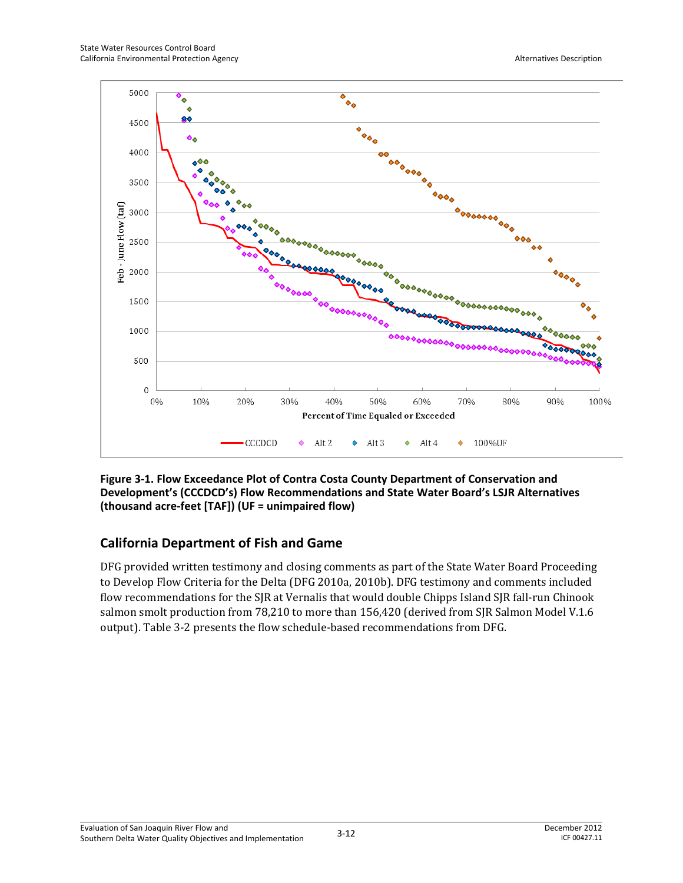

**Figure 3-1. Flow Exceedance Plot of Contra Costa County Department of Conservation and Development's (CCCDCD's) Flow Recommendations and State Water Board's LSJR Alternatives (thousand acre-feet [TAF]) (UF = unimpaired flow)** 

## **California Department of Fish and Game**

DFG provided written testimony and closing comments as part of the State Water Board Proceeding to Develop Flow Criteria for the Delta (DFG 2010a, 2010b). DFG testimony and comments included flow recommendations for the SJR at Vernalis that would double Chipps Island SJR fall-run Chinook salmon smolt production from 78,210 to more than 156,420 (derived from SJR Salmon Model V.1.6 output). Table 3-2 presents the flow schedule-based recommendations from DFG.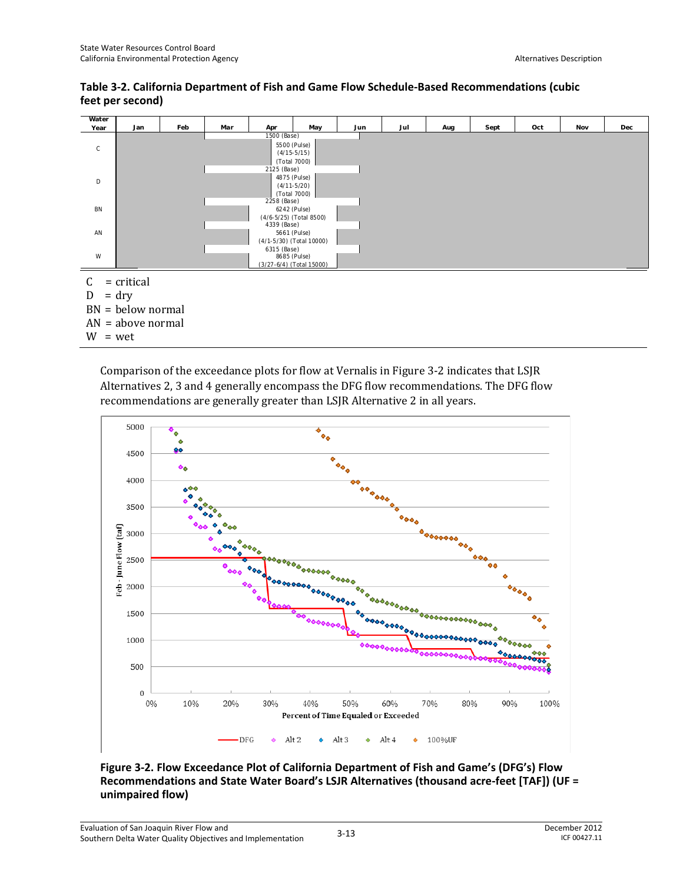$W = wet$ 





Comparison of the exceedance plots for flow at Vernalis in Figure 3-2 indicates that LSJR Alternatives 2, 3 and 4 generally encompass the DFG flow recommendations. The DFG flow recommendations are generally greater than LSJR Alternative 2 in all years.



**Figure 3-2. Flow Exceedance Plot of California Department of Fish and Game's (DFG's) Flow Recommendations and State Water Board's LSJR Alternatives (thousand acre-feet [TAF]) (UF = unimpaired flow)**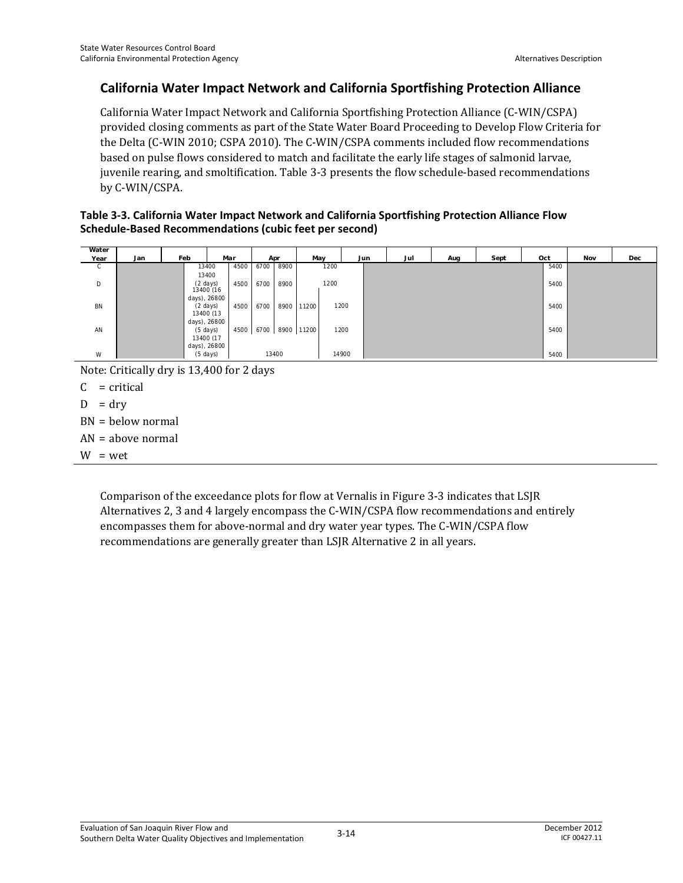### **California Water Impact Network and California Sportfishing Protection Alliance**

California Water Impact Network and California Sportfishing Protection Alliance (C-WIN/CSPA) provided closing comments as part of the State Water Board Proceeding to Develop Flow Criteria for the Delta (C-WIN 2010; CSPA 2010). The C-WIN/CSPA comments included flow recommendations based on pulse flows considered to match and facilitate the early life stages of salmonid larvae, juvenile rearing, and smoltification. Table 3-3 presents the flow schedule-based recommendations by C-WIN/CSPA.

#### **Table 3-3. California Water Impact Network and California Sportfishing Protection Alliance Flow Schedule-Based Recommendations (cubic feet per second)**

| Water        |     |     |                       |     |      |      |       |            |      |       |     |     |      |      |     |     |
|--------------|-----|-----|-----------------------|-----|------|------|-------|------------|------|-------|-----|-----|------|------|-----|-----|
| Year         | Jan | Feb |                       | Mar |      |      | Apr   | May        |      | Jun   | Jul | Aug | Sept | Oct  | Nov | Dec |
| $\mathsf{C}$ |     |     | 13400                 |     | 4500 | 6700 | 8900  |            | 1200 |       |     |     |      | 5400 |     |     |
|              |     |     | 13400                 |     |      |      |       |            |      |       |     |     |      |      |     |     |
| D            |     |     | (2 days)<br>13400 (16 |     | 4500 | 6700 | 8900  |            | 1200 |       |     |     |      | 5400 |     |     |
|              |     |     |                       |     |      |      |       |            |      |       |     |     |      |      |     |     |
|              |     |     | days), 26800          |     |      |      |       |            |      |       |     |     |      |      |     |     |
| BN           |     |     | $(2 \text{ days})$    |     | 4500 | 6700 | 8900  | 11200      |      | 1200  |     |     |      | 5400 |     |     |
|              |     |     | 13400 (13             |     |      |      |       |            |      |       |     |     |      |      |     |     |
|              |     |     | days), 26800          |     |      |      |       |            |      |       |     |     |      |      |     |     |
| AN           |     |     | $(5 \text{ days})$    |     | 4500 | 6700 |       | 8900 11200 |      | 1200  |     |     |      | 5400 |     |     |
|              |     |     | 13400 (17             |     |      |      |       |            |      |       |     |     |      |      |     |     |
|              |     |     | days), 26800          |     |      |      |       |            |      |       |     |     |      |      |     |     |
| W            |     |     | (5 days)              |     |      |      | 13400 |            |      | 14900 |     |     |      | 5400 |     |     |

Note: Critically dry is 13,400 for 2 days

 $C = critical$ 

- $D = dry$
- BN = below normal
- AN = above normal

 $W = wet$ 

Comparison of the exceedance plots for flow at Vernalis in Figure 3-3 indicates that LSJR Alternatives 2, 3 and 4 largely encompass the C-WIN/CSPA flow recommendations and entirely encompasses them for above-normal and dry water year types. The C-WIN/CSPA flow recommendations are generally greater than LSJR Alternative 2 in all years.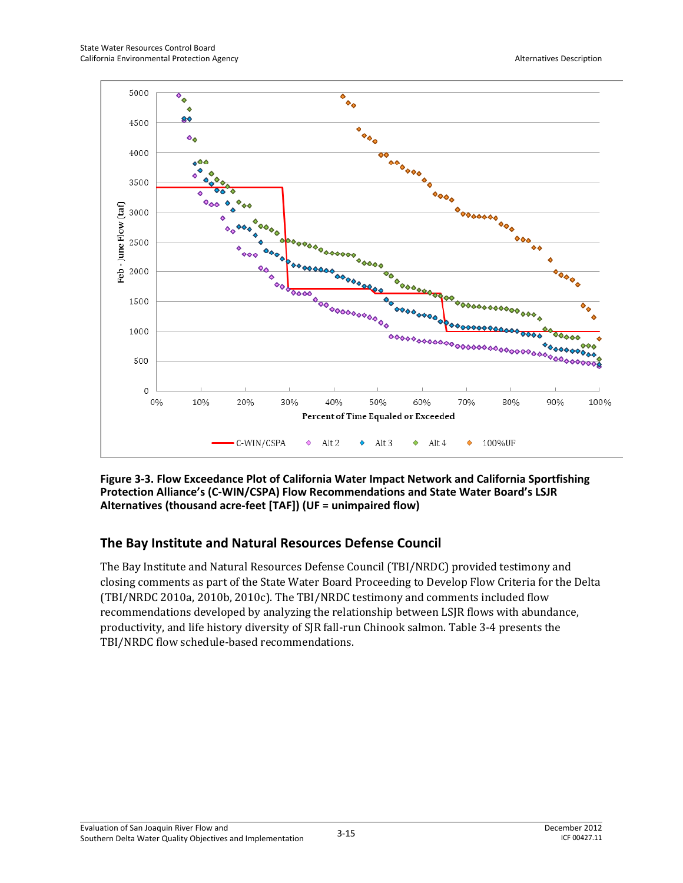

**Figure 3-3. Flow Exceedance Plot of California Water Impact Network and California Sportfishing Protection Alliance's (C-WIN/CSPA) Flow Recommendations and State Water Board's LSJR Alternatives (thousand acre-feet [TAF]) (UF = unimpaired flow)** 

## **The Bay Institute and Natural Resources Defense Council**

The Bay Institute and Natural Resources Defense Council (TBI/NRDC) provided testimony and closing comments as part of the State Water Board Proceeding to Develop Flow Criteria for the Delta (TBI/NRDC 2010a, 2010b, 2010c). The TBI/NRDC testimony and comments included flow recommendations developed by analyzing the relationship between LSJR flows with abundance, productivity, and life history diversity of SJR fall-run Chinook salmon. Table 3-4 presents the TBI/NRDC flow schedule-based recommendations.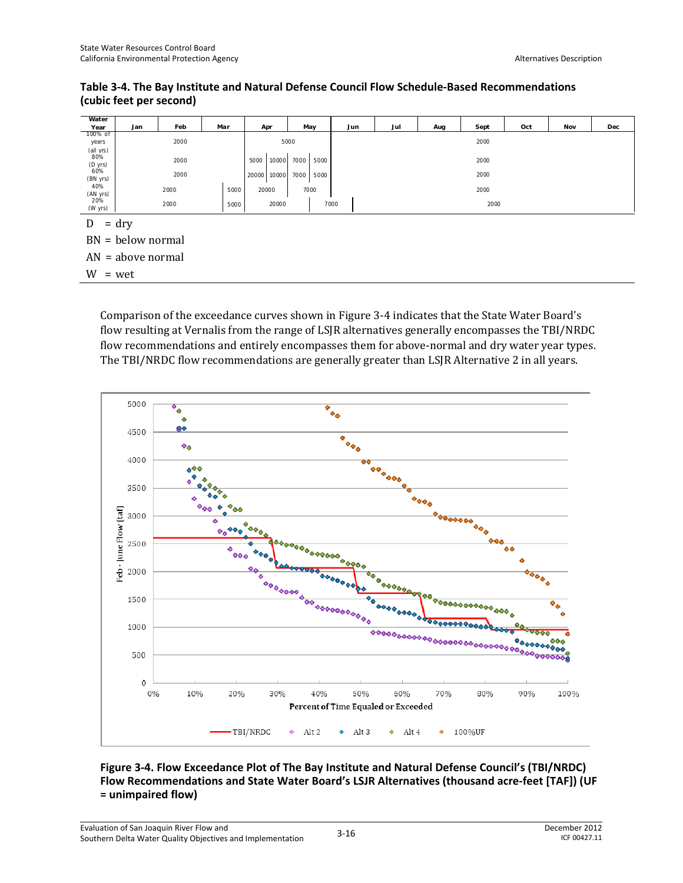**Table 3-4. The Bay Institute and Natural Defense Council Flow Schedule-Based Recommendations (cubic feet per second)** 

| Water                       |                     |      |      |               |              |      |      |      |      |     |     |     |  |
|-----------------------------|---------------------|------|------|---------------|--------------|------|------|------|------|-----|-----|-----|--|
| Year                        | Jan                 | Feb  | Mar  | Apr           | May          | Jun  | Jul  | Aug  | Sept | Oct | Nov | Dec |  |
| 100% of<br>years            |                     | 2000 |      |               | 5000         |      | 2000 |      |      |     |     |     |  |
| (all yrs)<br>80%<br>(D yrs) |                     | 2000 |      | 5000<br>10000 | 7000<br>5000 |      | 2000 |      |      |     |     |     |  |
| 60%<br>(BN yrs)             |                     | 2000 |      | 20000 10000   | 7000<br>5000 |      | 2000 |      |      |     |     |     |  |
| 40%<br>(AN yrs)             |                     | 2000 | 5000 | 20000         | 7000         |      | 2000 |      |      |     |     |     |  |
| 20%<br>(W yrs)              |                     | 2000 | 5000 | 20000         |              | 7000 |      | 2000 |      |     |     |     |  |
| D                           | $=$ dry             |      |      |               |              |      |      |      |      |     |     |     |  |
|                             | $BN = below normal$ |      |      |               |              |      |      |      |      |     |     |     |  |
|                             | $AN = above normal$ |      |      |               |              |      |      |      |      |     |     |     |  |
| $\mathbf{v}$                |                     |      |      |               |              |      |      |      |      |     |     |     |  |

 $W = wet$ 

Comparison of the exceedance curves shown in Figure 3-4 indicates that the State Water Board's flow resulting at Vernalis from the range of LSJR alternatives generally encompasses the TBI/NRDC flow recommendations and entirely encompasses them for above-normal and dry water year types. The TBI/NRDC flow recommendations are generally greater than LSJR Alternative 2 in all years.



#### **Figure 3-4. Flow Exceedance Plot of The Bay Institute and Natural Defense Council's (TBI/NRDC) Flow Recommendations and State Water Board's LSJR Alternatives (thousand acre-feet [TAF]) (UF = unimpaired flow)**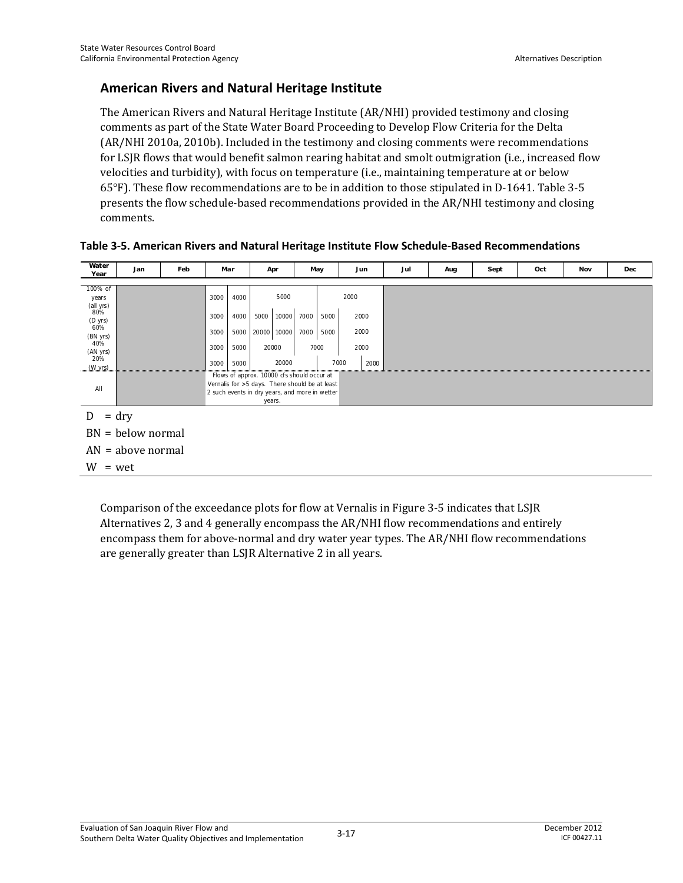### **American Rivers and Natural Heritage Institute**

The American Rivers and Natural Heritage Institute (AR/NHI) provided testimony and closing comments as part of the State Water Board Proceeding to Develop Flow Criteria for the Delta (AR/NHI 2010a, 2010b). Included in the testimony and closing comments were recommendations for LSJR flows that would benefit salmon rearing habitat and smolt outmigration (i.e., increased flow velocities and turbidity), with focus on temperature (i.e., maintaining temperature at or below 65°F). These flow recommendations are to be in addition to those stipulated in D-1641. Table 3-5 presents the flow schedule-based recommendations provided in the AR/NHI testimony and closing comments.

| Water<br>Year                                                                                           | Jan                 | Feb                                                                                                                                                      | Mar                                  |                                      | Apr                 |                                 |              | May                                                          |  | Jun  | Jul | Aug | Sept | Oct | <b>Nov</b> | Dec |
|---------------------------------------------------------------------------------------------------------|---------------------|----------------------------------------------------------------------------------------------------------------------------------------------------------|--------------------------------------|--------------------------------------|---------------------|---------------------------------|--------------|--------------------------------------------------------------|--|------|-----|-----|------|-----|------------|-----|
| 100% of<br>years<br>(all yrs)<br>80%<br>(D yrs)<br>60%<br>(BN yrs)<br>40%<br>(AN yrs)<br>20%<br>(W yrs) |                     |                                                                                                                                                          | 3000<br>3000<br>3000<br>3000<br>3000 | 4000<br>4000<br>5000<br>5000<br>5000 | 5000<br>20000 10000 | 5000<br>10000<br>20000<br>20000 | 7000<br>7000 | 2000<br>5000<br>2000<br>2000<br>5000<br>7000<br>2000<br>7000 |  | 2000 |     |     |      |     |            |     |
| All                                                                                                     |                     | Flows of approx. 10000 cfs should occur at<br>Vernalis for >5 days. There should be at least<br>2 such events in dry years, and more in wetter<br>years. |                                      |                                      |                     |                                 |              |                                                              |  |      |     |     |      |     |            |     |
|                                                                                                         | $=$ dry             |                                                                                                                                                          |                                      |                                      |                     |                                 |              |                                                              |  |      |     |     |      |     |            |     |
|                                                                                                         | $BN = below normal$ |                                                                                                                                                          |                                      |                                      |                     |                                 |              |                                                              |  |      |     |     |      |     |            |     |

| Table 3-5. American Rivers and Natural Heritage Institute Flow Schedule-Based Recommendations |  |
|-----------------------------------------------------------------------------------------------|--|
|-----------------------------------------------------------------------------------------------|--|

BN = below normal

AN = above normal

 $W = wet$ 

Comparison of the exceedance plots for flow at Vernalis in Figure 3-5 indicates that LSJR Alternatives 2, 3 and 4 generally encompass the AR/NHI flow recommendations and entirely encompass them for above-normal and dry water year types. The AR/NHI flow recommendations are generally greater than LSJR Alternative 2 in all years.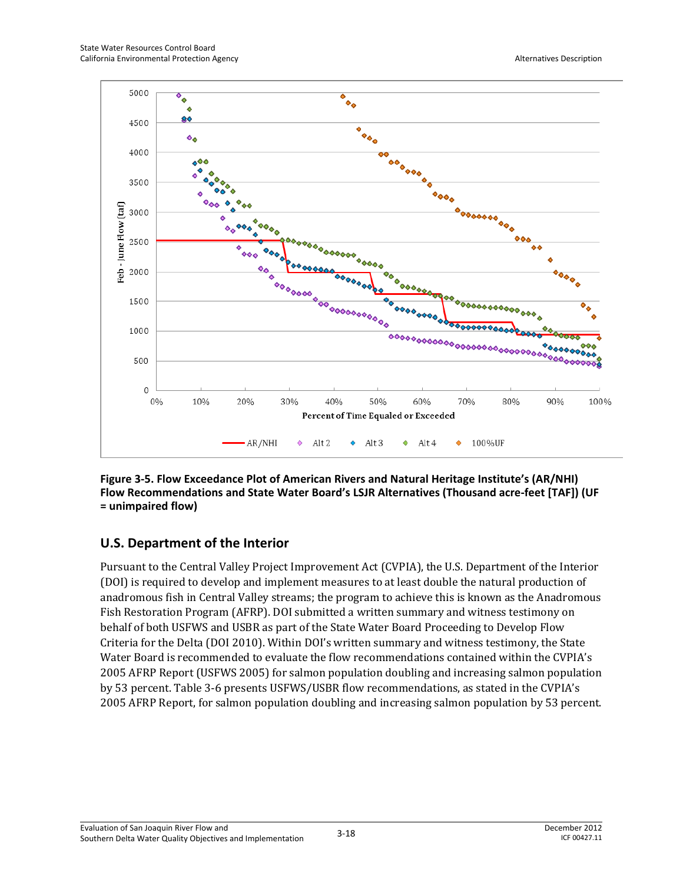

**Figure 3-5. Flow Exceedance Plot of American Rivers and Natural Heritage Institute's (AR/NHI) Flow Recommendations and State Water Board's LSJR Alternatives (Thousand acre-feet [TAF]) (UF = unimpaired flow)** 

## **U.S. Department of the Interior**

Pursuant to the Central Valley Project Improvement Act (CVPIA), the U.S. Department of the Interior (DOI) is required to develop and implement measures to at least double the natural production of anadromous fish in Central Valley streams; the program to achieve this is known as the Anadromous Fish Restoration Program (AFRP). DOI submitted a written summary and witness testimony on behalf of both USFWS and USBR as part of the State Water Board Proceeding to Develop Flow Criteria for the Delta (DOI 2010). Within DOI's written summary and witness testimony, the State Water Board is recommended to evaluate the flow recommendations contained within the CVPIA's 2005 AFRP Report (USFWS 2005) for salmon population doubling and increasing salmon population by 53 percent. Table 3-6 presents USFWS/USBR flow recommendations, as stated in the CVPIA's 2005 AFRP Report, for salmon population doubling and increasing salmon population by 53 percent.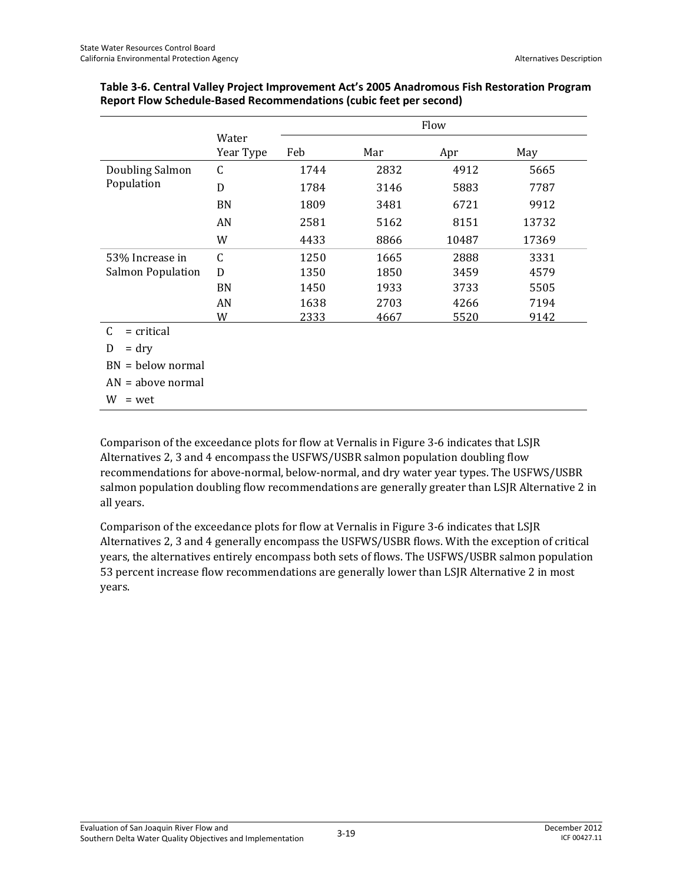|                     |                    |      | Flow |       |       |  |  |  |  |  |  |
|---------------------|--------------------|------|------|-------|-------|--|--|--|--|--|--|
|                     | Water<br>Year Type | Feb  | Mar  | Apr   | May   |  |  |  |  |  |  |
| Doubling Salmon     | $\mathsf C$        | 1744 | 2832 | 4912  | 5665  |  |  |  |  |  |  |
| Population          | D                  | 1784 | 3146 | 5883  | 7787  |  |  |  |  |  |  |
|                     | <b>BN</b>          | 1809 | 3481 | 6721  | 9912  |  |  |  |  |  |  |
|                     | AN                 | 2581 | 5162 | 8151  | 13732 |  |  |  |  |  |  |
|                     | W                  | 4433 | 8866 | 10487 | 17369 |  |  |  |  |  |  |
| 53% Increase in     | $\mathsf C$        | 1250 | 1665 | 2888  | 3331  |  |  |  |  |  |  |
| Salmon Population   | D                  | 1350 | 1850 | 3459  | 4579  |  |  |  |  |  |  |
|                     | BN                 | 1450 | 1933 | 3733  | 5505  |  |  |  |  |  |  |
|                     | AN                 | 1638 | 2703 | 4266  | 7194  |  |  |  |  |  |  |
|                     | W                  | 2333 | 4667 | 5520  | 9142  |  |  |  |  |  |  |
| C<br>$=$ critical   |                    |      |      |       |       |  |  |  |  |  |  |
| D<br>$=$ dry        |                    |      |      |       |       |  |  |  |  |  |  |
| $BN = below normal$ |                    |      |      |       |       |  |  |  |  |  |  |

| Table 3-6. Central Valley Project Improvement Act's 2005 Anadromous Fish Restoration Program |
|----------------------------------------------------------------------------------------------|
| Report Flow Schedule-Based Recommendations (cubic feet per second)                           |

AN = above normal

 $W = wet$ 

Comparison of the exceedance plots for flow at Vernalis in Figure 3-6 indicates that LSJR Alternatives 2, 3 and 4 encompass the USFWS/USBR salmon population doubling flow recommendations for above-normal, below-normal, and dry water year types. The USFWS/USBR salmon population doubling flow recommendations are generally greater than LSJR Alternative 2 in all years.

Comparison of the exceedance plots for flow at Vernalis in Figure 3-6 indicates that LSJR Alternatives 2, 3 and 4 generally encompass the USFWS/USBR flows. With the exception of critical years, the alternatives entirely encompass both sets of flows. The USFWS/USBR salmon population 53 percent increase flow recommendations are generally lower than LSJR Alternative 2 in most years.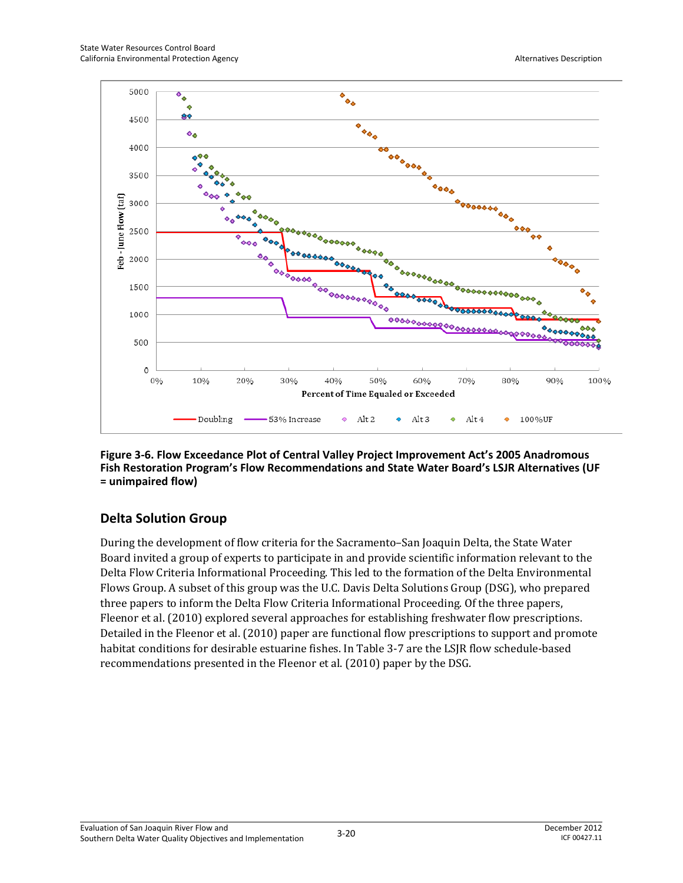

**Figure 3-6. Flow Exceedance Plot of Central Valley Project Improvement Act's 2005 Anadromous Fish Restoration Program's Flow Recommendations and State Water Board's LSJR Alternatives (UF = unimpaired flow)** 

## **Delta Solution Group**

During the development of flow criteria for the Sacramento–San Joaquin Delta, the State Water Board invited a group of experts to participate in and provide scientific information relevant to the Delta Flow Criteria Informational Proceeding. This led to the formation of the Delta Environmental Flows Group. A subset of this group was the U.C. Davis Delta Solutions Group (DSG), who prepared three papers to inform the Delta Flow Criteria Informational Proceeding. Of the three papers, Fleenor et al. (2010) explored several approaches for establishing freshwater flow prescriptions. Detailed in the Fleenor et al. (2010) paper are functional flow prescriptions to support and promote habitat conditions for desirable estuarine fishes. In Table 3-7 are the LSJR flow schedule-based recommendations presented in the Fleenor et al. (2010) paper by the DSG.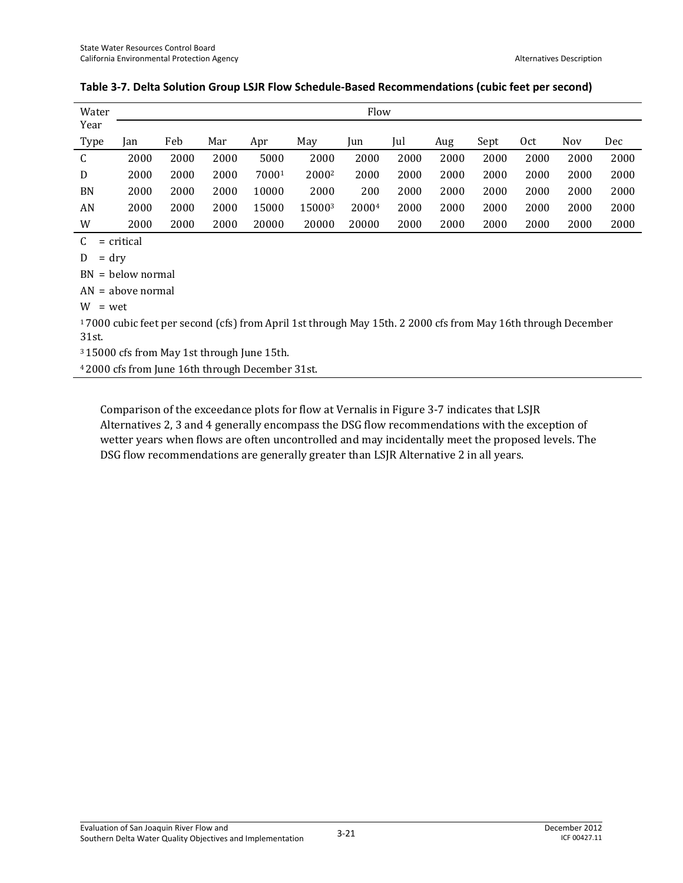| Water       |      |      |      |       |                   | Flow  |      |      |      |      |            |      |
|-------------|------|------|------|-------|-------------------|-------|------|------|------|------|------------|------|
| Year        |      |      |      |       |                   |       |      |      |      |      |            |      |
| <b>Type</b> | lan  | Feb  | Mar  | Apr   | May               | Jun   | Jul  | Aug  | Sept | Oct  | <b>Nov</b> | Dec  |
| C           | 2000 | 2000 | 2000 | 5000  | 2000              | 2000  | 2000 | 2000 | 2000 | 2000 | 2000       | 2000 |
| D           | 2000 | 2000 | 2000 | 70001 | 2000 <sup>2</sup> | 2000  | 2000 | 2000 | 2000 | 2000 | 2000       | 2000 |
| <b>BN</b>   | 2000 | 2000 | 2000 | 10000 | 2000              | 200   | 2000 | 2000 | 2000 | 2000 | 2000       | 2000 |
| AN          | 2000 | 2000 | 2000 | 15000 | 150003            | 20004 | 2000 | 2000 | 2000 | 2000 | 2000       | 2000 |
| W           | 2000 | 2000 | 2000 | 20000 | 20000             | 20000 | 2000 | 2000 | 2000 | 2000 | 2000       | 2000 |

#### **Table 3-7. Delta Solution Group LSJR Flow Schedule-Based Recommendations (cubic feet per second)**

 $C =$  critical

 $D = dry$ 

BN = below normal

AN = above normal

 $W = wet$ 

1 7000 cubic feet per second (cfs) from April 1st through May 15th. 2 2000 cfs from May 16th through December 31st.

3 15000 cfs from May 1st through June 15th.

4 2000 cfs from June 16th through December 31st.

Comparison of the exceedance plots for flow at Vernalis in Figure 3-7 indicates that LSJR Alternatives 2, 3 and 4 generally encompass the DSG flow recommendations with the exception of wetter years when flows are often uncontrolled and may incidentally meet the proposed levels. The DSG flow recommendations are generally greater than LSJR Alternative 2 in all years.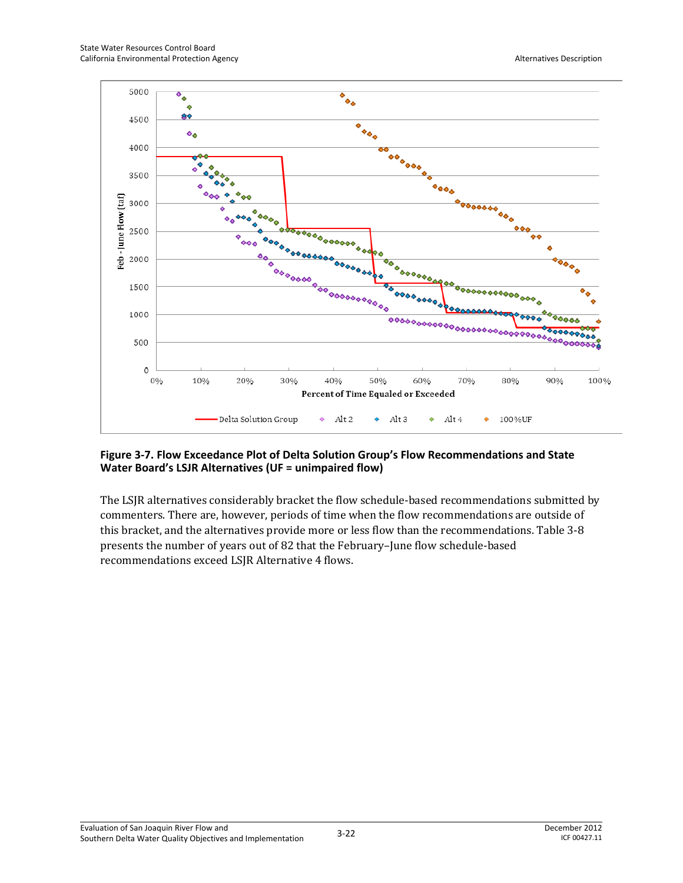

#### **Figure 3-7. Flow Exceedance Plot of Delta Solution Group's Flow Recommendations and State Water Board's LSJR Alternatives (UF = unimpaired flow)**

The LSJR alternatives considerably bracket the flow schedule-based recommendations submitted by commenters. There are, however, periods of time when the flow recommendations are outside of this bracket, and the alternatives provide more or less flow than the recommendations. Table 3-8 presents the number of years out of 82 that the February–June flow schedule-based recommendations exceed LSJR Alternative 4 flows.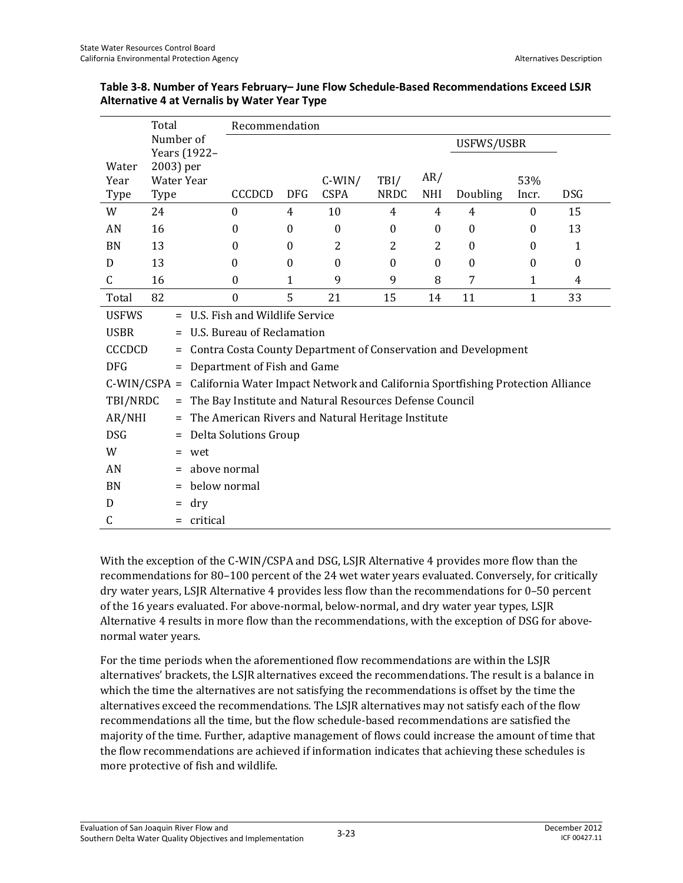|                | Total                                 |          |                                                                                 | Recommendation |                  |             |            |                  |              |              |  |  |
|----------------|---------------------------------------|----------|---------------------------------------------------------------------------------|----------------|------------------|-------------|------------|------------------|--------------|--------------|--|--|
|                | Number of                             |          | Years (1922-                                                                    |                |                  |             |            | USFWS/USBR       |              |              |  |  |
| Water<br>Year  | 2003) per                             |          | Water Year                                                                      |                | $C-WIN/$         | TBI/        | AR/        |                  | 53%          |              |  |  |
| Type           | Type                                  |          | <b>CCCDCD</b>                                                                   | <b>DFG</b>     | <b>CSPA</b>      | <b>NRDC</b> | <b>NHI</b> | Doubling         | Incr.        | <b>DSG</b>   |  |  |
| W              | 24                                    |          | $\theta$                                                                        | 4              | 10               | 4           | 4          | 4                | $\theta$     | 15           |  |  |
| AN             | 16                                    |          | $\theta$                                                                        | $\Omega$       | $\boldsymbol{0}$ | $\theta$    | $\bf{0}$   | $\boldsymbol{0}$ | $\theta$     | 13           |  |  |
| <b>BN</b>      | 13                                    |          | $\Omega$                                                                        | $\Omega$       | 2                | 2           | 2          | $\boldsymbol{0}$ | $\Omega$     | $\mathbf{1}$ |  |  |
| D              | 13                                    |          | $\theta$                                                                        | $\theta$       | $\theta$         | $\theta$    | $\theta$   | $\boldsymbol{0}$ | $\theta$     | $\theta$     |  |  |
| $\mathsf{C}$   | 16                                    |          | $\boldsymbol{0}$                                                                | $\mathbf{1}$   | 9                | 9           | 8          | 7                | $\mathbf{1}$ | 4            |  |  |
| Total          | 82                                    |          | $\mathbf{0}$                                                                    | 5              | 21               | 15          | 14         | 11               | 1            | 33           |  |  |
| <b>USFWS</b>   | U.S. Fish and Wildlife Service<br>$=$ |          |                                                                                 |                |                  |             |            |                  |              |              |  |  |
| <b>USBR</b>    |                                       | $=$      | U.S. Bureau of Reclamation                                                      |                |                  |             |            |                  |              |              |  |  |
| <b>CCCDCD</b>  |                                       | $=$      | Contra Costa County Department of Conservation and Development                  |                |                  |             |            |                  |              |              |  |  |
| <b>DFG</b>     |                                       | Ξ.       | Department of Fish and Game                                                     |                |                  |             |            |                  |              |              |  |  |
| $C-WIN/CSPA =$ |                                       |          | California Water Impact Network and California Sportfishing Protection Alliance |                |                  |             |            |                  |              |              |  |  |
| TBI/NRDC       |                                       | $\equiv$ | The Bay Institute and Natural Resources Defense Council                         |                |                  |             |            |                  |              |              |  |  |
| AR/NHI         |                                       | Ξ.       | The American Rivers and Natural Heritage Institute                              |                |                  |             |            |                  |              |              |  |  |
| <b>DSG</b>     |                                       | Ξ.       | Delta Solutions Group                                                           |                |                  |             |            |                  |              |              |  |  |
| W              |                                       | Ξ.       | wet                                                                             |                |                  |             |            |                  |              |              |  |  |
| AN             |                                       | =        | above normal                                                                    |                |                  |             |            |                  |              |              |  |  |
| <b>BN</b>      |                                       |          | below normal                                                                    |                |                  |             |            |                  |              |              |  |  |
| D              |                                       | =        | dry                                                                             |                |                  |             |            |                  |              |              |  |  |
| C              |                                       |          | critical                                                                        |                |                  |             |            |                  |              |              |  |  |

#### **Table 3-8. Number of Years February– June Flow Schedule-Based Recommendations Exceed LSJR Alternative 4 at Vernalis by Water Year Type**

With the exception of the C-WIN/CSPA and DSG, LSJR Alternative 4 provides more flow than the recommendations for 80–100 percent of the 24 wet water years evaluated. Conversely, for critically dry water years, LSJR Alternative 4 provides less flow than the recommendations for 0–50 percent of the 16 years evaluated. For above-normal, below-normal, and dry water year types, LSJR Alternative 4 results in more flow than the recommendations, with the exception of DSG for abovenormal water years.

For the time periods when the aforementioned flow recommendations are within the LSJR alternatives' brackets, the LSJR alternatives exceed the recommendations. The result is a balance in which the time the alternatives are not satisfying the recommendations is offset by the time the alternatives exceed the recommendations. The LSJR alternatives may not satisfy each of the flow recommendations all the time, but the flow schedule-based recommendations are satisfied the majority of the time. Further, adaptive management of flows could increase the amount of time that the flow recommendations are achieved if information indicates that achieving these schedules is more protective of fish and wildlife.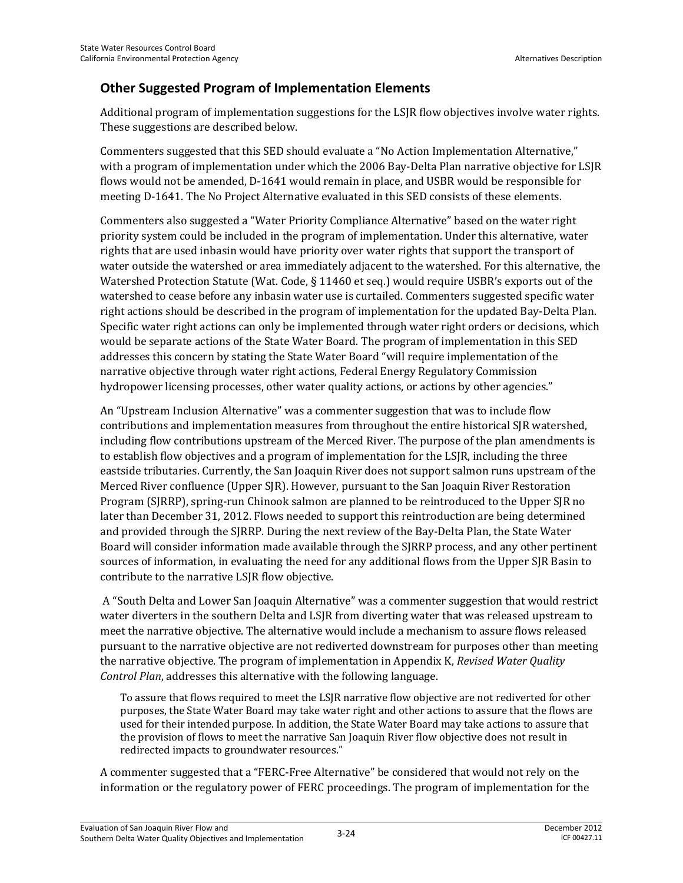## **Other Suggested Program of Implementation Elements**

Additional program of implementation suggestions for the LSJR flow objectives involve water rights. These suggestions are described below.

Commenters suggested that this SED should evaluate a "No Action Implementation Alternative," with a program of implementation under which the 2006 Bay-Delta Plan narrative objective for LSJR flows would not be amended, D-1641 would remain in place, and USBR would be responsible for meeting D-1641. The No Project Alternative evaluated in this SED consists of these elements.

Commenters also suggested a "Water Priority Compliance Alternative" based on the water right priority system could be included in the program of implementation. Under this alternative, water rights that are used inbasin would have priority over water rights that support the transport of water outside the watershed or area immediately adjacent to the watershed. For this alternative, the Watershed Protection Statute (Wat. Code, § 11460 et seq.) would require USBR's exports out of the watershed to cease before any inbasin water use is curtailed. Commenters suggested specific water right actions should be described in the program of implementation for the updated Bay-Delta Plan. Specific water right actions can only be implemented through water right orders or decisions, which would be separate actions of the State Water Board. The program of implementation in this SED addresses this concern by stating the State Water Board "will require implementation of the narrative objective through water right actions, Federal Energy Regulatory Commission hydropower licensing processes, other water quality actions, or actions by other agencies."

An "Upstream Inclusion Alternative" was a commenter suggestion that was to include flow contributions and implementation measures from throughout the entire historical SJR watershed, including flow contributions upstream of the Merced River. The purpose of the plan amendments is to establish flow objectives and a program of implementation for the LSJR, including the three eastside tributaries. Currently, the San Joaquin River does not support salmon runs upstream of the Merced River confluence (Upper SJR). However, pursuant to the San Joaquin River Restoration Program (SJRRP), spring-run Chinook salmon are planned to be reintroduced to the Upper SJR no later than December 31, 2012. Flows needed to support this reintroduction are being determined and provided through the SJRRP. During the next review of the Bay-Delta Plan, the State Water Board will consider information made available through the SJRRP process, and any other pertinent sources of information, in evaluating the need for any additional flows from the Upper SJR Basin to contribute to the narrative LSJR flow objective.

 A "South Delta and Lower San Joaquin Alternative" was a commenter suggestion that would restrict water diverters in the southern Delta and LSJR from diverting water that was released upstream to meet the narrative objective. The alternative would include a mechanism to assure flows released pursuant to the narrative objective are not rediverted downstream for purposes other than meeting the narrative objective. The program of implementation in Appendix K, *Revised Water Quality Control Plan*, addresses this alternative with the following language.

To assure that flows required to meet the LSJR narrative flow objective are not rediverted for other purposes, the State Water Board may take water right and other actions to assure that the flows are used for their intended purpose. In addition, the State Water Board may take actions to assure that the provision of flows to meet the narrative San Joaquin River flow objective does not result in redirected impacts to groundwater resources."

A commenter suggested that a "FERC-Free Alternative" be considered that would not rely on the information or the regulatory power of FERC proceedings. The program of implementation for the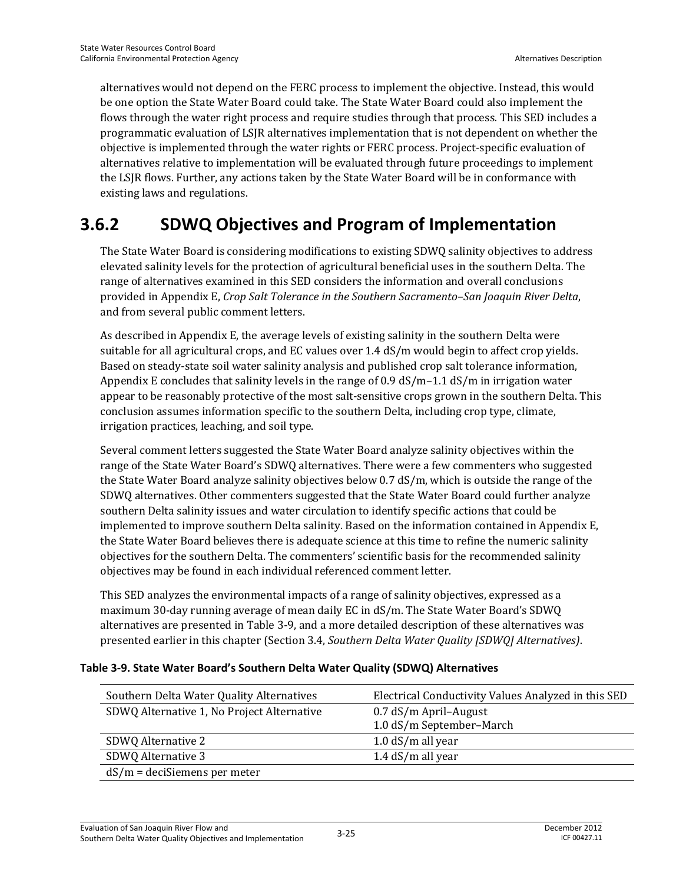alternatives would not depend on the FERC process to implement the objective. Instead, this would be one option the State Water Board could take. The State Water Board could also implement the flows through the water right process and require studies through that process. This SED includes a programmatic evaluation of LSJR alternatives implementation that is not dependent on whether the objective is implemented through the water rights or FERC process. Project-specific evaluation of alternatives relative to implementation will be evaluated through future proceedings to implement the LSJR flows. Further, any actions taken by the State Water Board will be in conformance with existing laws and regulations.

## **3.6.2 SDWQ Objectives and Program of Implementation**

The State Water Board is considering modifications to existing SDWQ salinity objectives to address elevated salinity levels for the protection of agricultural beneficial uses in the southern Delta. The range of alternatives examined in this SED considers the information and overall conclusions provided in Appendix E, *Crop Salt Tolerance in the Southern Sacramento–San Joaquin River Delta*, and from several public comment letters.

As described in Appendix E, the average levels of existing salinity in the southern Delta were suitable for all agricultural crops, and EC values over 1.4 dS/m would begin to affect crop yields. Based on steady-state soil water salinity analysis and published crop salt tolerance information, Appendix E concludes that salinity levels in the range of  $0.9 \text{ dS/m}$ –1.1 dS/m in irrigation water appear to be reasonably protective of the most salt-sensitive crops grown in the southern Delta. This conclusion assumes information specific to the southern Delta, including crop type, climate, irrigation practices, leaching, and soil type.

Several comment letters suggested the State Water Board analyze salinity objectives within the range of the State Water Board's SDWQ alternatives. There were a few commenters who suggested the State Water Board analyze salinity objectives below 0.7 dS/m, which is outside the range of the SDWQ alternatives. Other commenters suggested that the State Water Board could further analyze southern Delta salinity issues and water circulation to identify specific actions that could be implemented to improve southern Delta salinity. Based on the information contained in Appendix E, the State Water Board believes there is adequate science at this time to refine the numeric salinity objectives for the southern Delta. The commenters' scientific basis for the recommended salinity objectives may be found in each individual referenced comment letter.

This SED analyzes the environmental impacts of a range of salinity objectives, expressed as a maximum 30-day running average of mean daily EC in dS/m. The State Water Board's SDWQ alternatives are presented in Table 3-9, and a more detailed description of these alternatives was presented earlier in this chapter (Section 3.4, *Southern Delta Water Quality [SDWQ] Alternatives)*.

#### **Table 3-9. State Water Board's Southern Delta Water Quality (SDWQ) Alternatives**

| Southern Delta Water Quality Alternatives  | Electrical Conductivity Values Analyzed in this SED |
|--------------------------------------------|-----------------------------------------------------|
| SDWQ Alternative 1, No Project Alternative | $0.7$ dS/m April-August                             |
|                                            | 1.0 dS/m September-March                            |
| SDWQ Alternative 2                         | 1.0 $dS/m$ all year                                 |
| SDWQ Alternative 3                         | 1.4 $dS/m$ all year                                 |
| $dS/m = deciSiemens per meter$             |                                                     |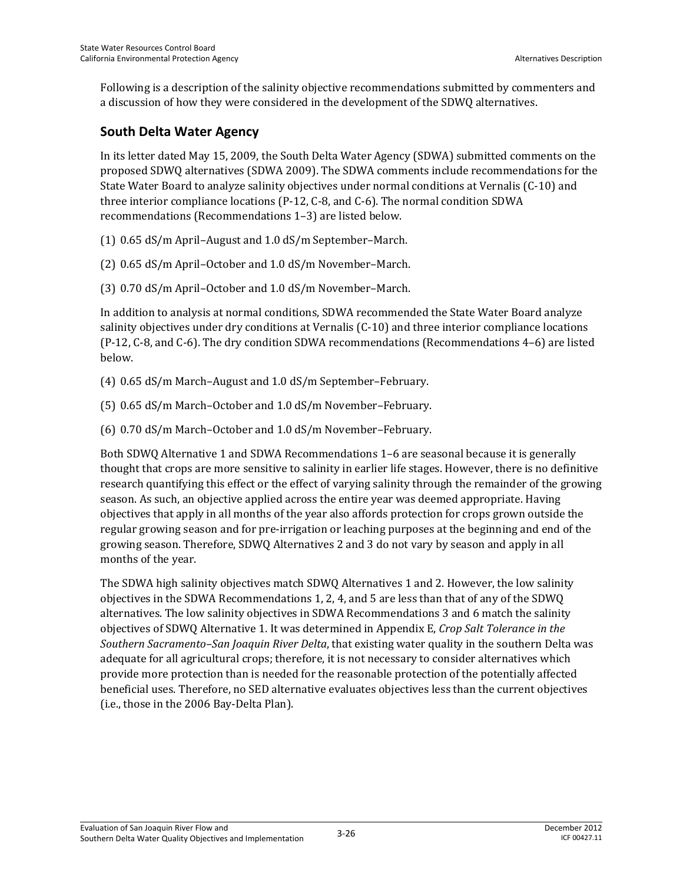Following is a description of the salinity objective recommendations submitted by commenters and a discussion of how they were considered in the development of the SDWQ alternatives.

## **South Delta Water Agency**

In its letter dated May 15, 2009, the South Delta Water Agency (SDWA) submitted comments on the proposed SDWQ alternatives (SDWA 2009). The SDWA comments include recommendations for the State Water Board to analyze salinity objectives under normal conditions at Vernalis (C-10) and three interior compliance locations (P-12, C-8, and C-6). The normal condition SDWA recommendations (Recommendations 1–3) are listed below.

- (1) 0.65 dS/m April–August and 1.0 dS/m September–March.
- (2) 0.65 dS/m April–October and 1.0 dS/m November–March.
- (3) 0.70 dS/m April–October and 1.0 dS/m November–March.

In addition to analysis at normal conditions, SDWA recommended the State Water Board analyze salinity objectives under dry conditions at Vernalis (C-10) and three interior compliance locations (P-12, C-8, and C-6). The dry condition SDWA recommendations (Recommendations 4–6) are listed below.

- (4) 0.65 dS/m March–August and 1.0 dS/m September–February.
- (5) 0.65 dS/m March–October and 1.0 dS/m November–February.
- (6) 0.70 dS/m March–October and 1.0 dS/m November–February.

Both SDWQ Alternative 1 and SDWA Recommendations 1–6 are seasonal because it is generally thought that crops are more sensitive to salinity in earlier life stages. However, there is no definitive research quantifying this effect or the effect of varying salinity through the remainder of the growing season. As such, an objective applied across the entire year was deemed appropriate. Having objectives that apply in all months of the year also affords protection for crops grown outside the regular growing season and for pre-irrigation or leaching purposes at the beginning and end of the growing season. Therefore, SDWQ Alternatives 2 and 3 do not vary by season and apply in all months of the year.

The SDWA high salinity objectives match SDWQ Alternatives 1 and 2. However, the low salinity objectives in the SDWA Recommendations 1, 2, 4, and 5 are less than that of any of the SDWQ alternatives. The low salinity objectives in SDWA Recommendations 3 and 6 match the salinity objectives of SDWQ Alternative 1. It was determined in Appendix E, *Crop Salt Tolerance in the Southern Sacramento–San Joaquin River Delta*, that existing water quality in the southern Delta was adequate for all agricultural crops; therefore, it is not necessary to consider alternatives which provide more protection than is needed for the reasonable protection of the potentially affected beneficial uses. Therefore, no SED alternative evaluates objectives less than the current objectives (i.e., those in the 2006 Bay-Delta Plan).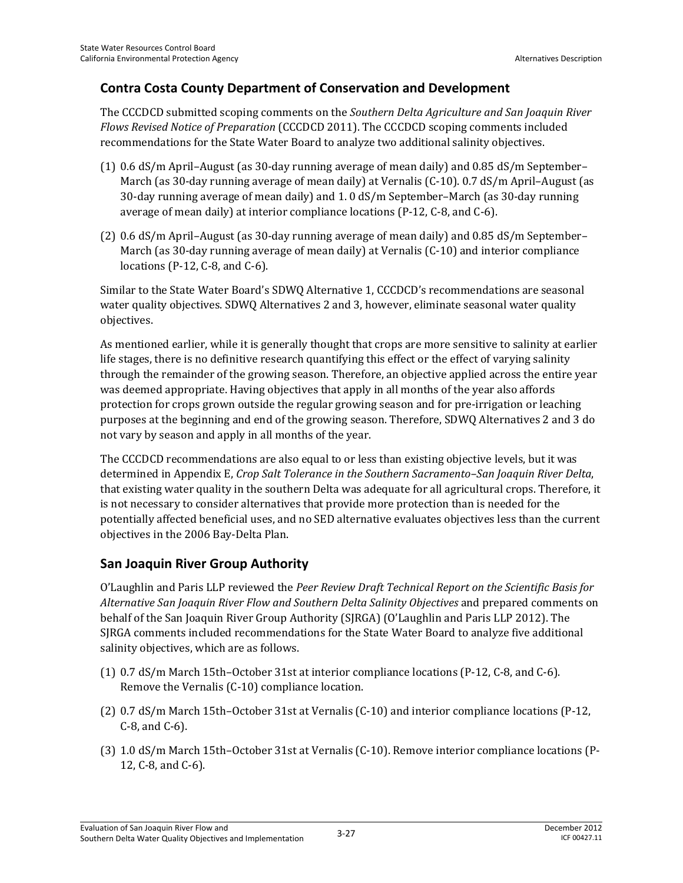### **Contra Costa County Department of Conservation and Development**

The CCCDCD submitted scoping comments on the *Southern Delta Agriculture and San Joaquin River Flows Revised Notice of Preparation* (CCCDCD 2011). The CCCDCD scoping comments included recommendations for the State Water Board to analyze two additional salinity objectives.

- (1) 0.6 dS/m April–August (as 30-day running average of mean daily) and 0.85 dS/m September– March (as 30-day running average of mean daily) at Vernalis (C-10). 0.7 dS/m April–August (as 30-day running average of mean daily) and 1. 0 dS/m September–March (as 30-day running average of mean daily) at interior compliance locations (P-12, C-8, and C-6).
- (2) 0.6 dS/m April–August (as 30-day running average of mean daily) and 0.85 dS/m September– March (as 30-day running average of mean daily) at Vernalis (C-10) and interior compliance locations (P-12, C-8, and C-6).

Similar to the State Water Board's SDWQ Alternative 1, CCCDCD's recommendations are seasonal water quality objectives. SDWQ Alternatives 2 and 3, however, eliminate seasonal water quality objectives.

As mentioned earlier, while it is generally thought that crops are more sensitive to salinity at earlier life stages, there is no definitive research quantifying this effect or the effect of varying salinity through the remainder of the growing season. Therefore, an objective applied across the entire year was deemed appropriate. Having objectives that apply in all months of the year also affords protection for crops grown outside the regular growing season and for pre-irrigation or leaching purposes at the beginning and end of the growing season. Therefore, SDWQ Alternatives 2 and 3 do not vary by season and apply in all months of the year.

The CCCDCD recommendations are also equal to or less than existing objective levels, but it was determined in Appendix E, *Crop Salt Tolerance in the Southern Sacramento–San Joaquin River Delta*, that existing water quality in the southern Delta was adequate for all agricultural crops. Therefore, it is not necessary to consider alternatives that provide more protection than is needed for the potentially affected beneficial uses, and no SED alternative evaluates objectives less than the current objectives in the 2006 Bay-Delta Plan.

## **San Joaquin River Group Authority**

O'Laughlin and Paris LLP reviewed the *Peer Review Draft Technical Report on the Scientific Basis for Alternative San Joaquin River Flow and Southern Delta Salinity Objectives* and prepared comments on behalf of the San Joaquin River Group Authority (SJRGA) (O'Laughlin and Paris LLP 2012). The SJRGA comments included recommendations for the State Water Board to analyze five additional salinity objectives, which are as follows.

- (1) 0.7 dS/m March 15th–October 31st at interior compliance locations (P-12, C-8, and C-6). Remove the Vernalis (C-10) compliance location.
- (2) 0.7 dS/m March 15th–October 31st at Vernalis (C-10) and interior compliance locations (P-12, C-8, and C-6).
- (3) 1.0 dS/m March 15th–October 31st at Vernalis (C-10). Remove interior compliance locations (P-12, C-8, and C-6).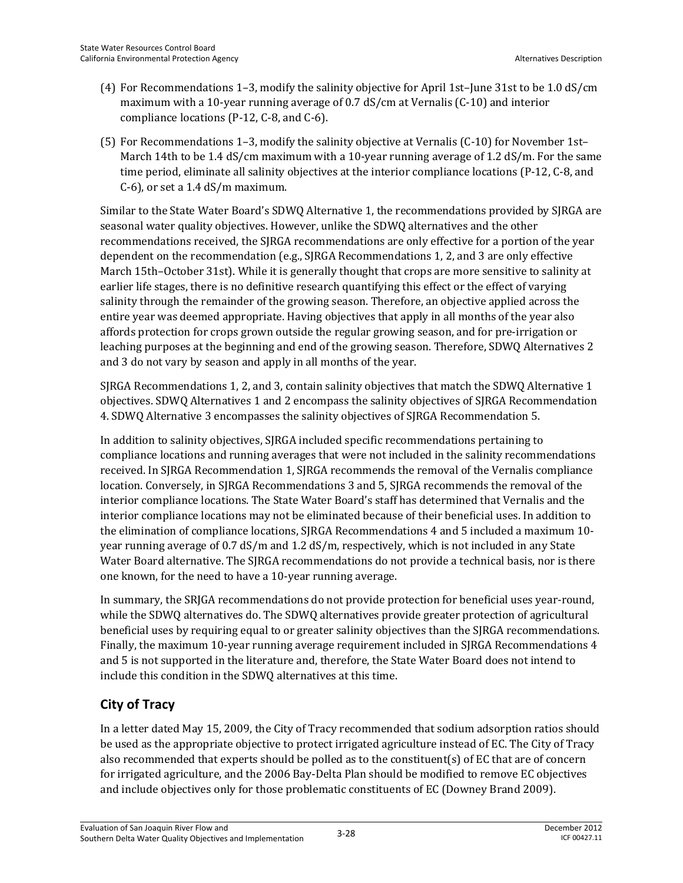- (4) For Recommendations 1–3, modify the salinity objective for April 1st–June 31st to be 1.0 dS/cm maximum with a 10-year running average of 0.7 dS/cm at Vernalis (C-10) and interior compliance locations (P-12, C-8, and C-6).
- (5) For Recommendations 1–3, modify the salinity objective at Vernalis (C-10) for November 1st– March 14th to be 1.4 dS/cm maximum with a 10-year running average of 1.2 dS/m. For the same time period, eliminate all salinity objectives at the interior compliance locations (P-12, C-8, and C-6), or set a 1.4 dS/m maximum.

Similar to the State Water Board's SDWQ Alternative 1, the recommendations provided by SJRGA are seasonal water quality objectives. However, unlike the SDWQ alternatives and the other recommendations received, the SJRGA recommendations are only effective for a portion of the year dependent on the recommendation (e.g., SJRGA Recommendations 1, 2, and 3 are only effective March 15th–October 31st). While it is generally thought that crops are more sensitive to salinity at earlier life stages, there is no definitive research quantifying this effect or the effect of varying salinity through the remainder of the growing season. Therefore, an objective applied across the entire year was deemed appropriate. Having objectives that apply in all months of the year also affords protection for crops grown outside the regular growing season, and for pre-irrigation or leaching purposes at the beginning and end of the growing season. Therefore, SDWQ Alternatives 2 and 3 do not vary by season and apply in all months of the year.

SJRGA Recommendations 1, 2, and 3, contain salinity objectives that match the SDWQ Alternative 1 objectives. SDWQ Alternatives 1 and 2 encompass the salinity objectives of SJRGA Recommendation 4. SDWQ Alternative 3 encompasses the salinity objectives of SJRGA Recommendation 5.

In addition to salinity objectives, SJRGA included specific recommendations pertaining to compliance locations and running averages that were not included in the salinity recommendations received. In SJRGA Recommendation 1, SJRGA recommends the removal of the Vernalis compliance location. Conversely, in SJRGA Recommendations 3 and 5, SJRGA recommends the removal of the interior compliance locations. The State Water Board's staff has determined that Vernalis and the interior compliance locations may not be eliminated because of their beneficial uses. In addition to the elimination of compliance locations, SJRGA Recommendations 4 and 5 included a maximum 10 year running average of 0.7 dS/m and 1.2 dS/m, respectively, which is not included in any State Water Board alternative. The SJRGA recommendations do not provide a technical basis, nor is there one known, for the need to have a 10-year running average.

In summary, the SRJGA recommendations do not provide protection for beneficial uses year-round, while the SDWQ alternatives do. The SDWQ alternatives provide greater protection of agricultural beneficial uses by requiring equal to or greater salinity objectives than the SJRGA recommendations. Finally, the maximum 10-year running average requirement included in SJRGA Recommendations 4 and 5 is not supported in the literature and, therefore, the State Water Board does not intend to include this condition in the SDWQ alternatives at this time.

## **City of Tracy**

In a letter dated May 15, 2009, the City of Tracy recommended that sodium adsorption ratios should be used as the appropriate objective to protect irrigated agriculture instead of EC. The City of Tracy also recommended that experts should be polled as to the constituent(s) of EC that are of concern for irrigated agriculture, and the 2006 Bay-Delta Plan should be modified to remove EC objectives and include objectives only for those problematic constituents of EC (Downey Brand 2009).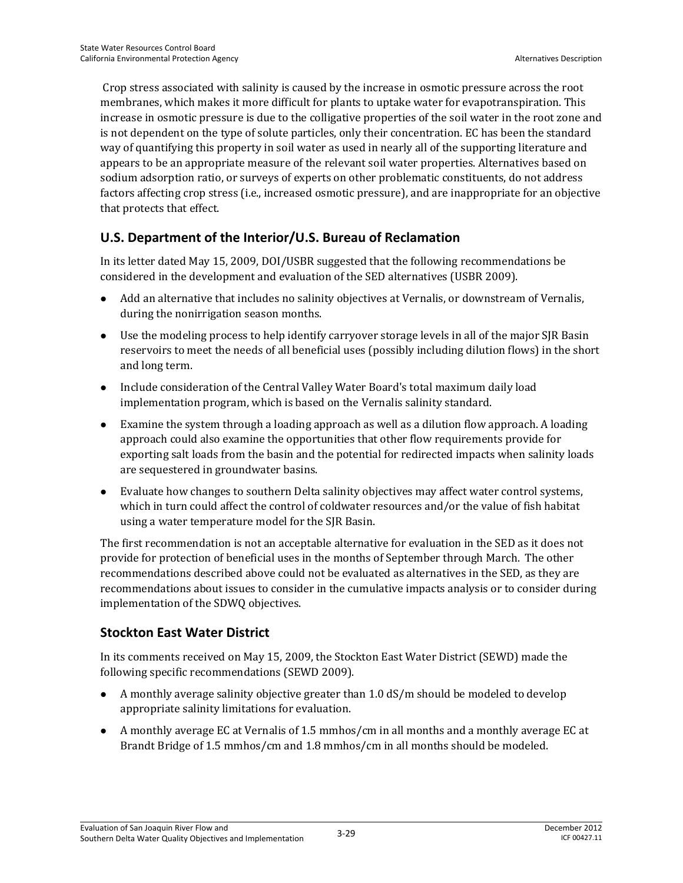Crop stress associated with salinity is caused by the increase in osmotic pressure across the root membranes, which makes it more difficult for plants to uptake water for evapotranspiration. This increase in osmotic pressure is due to the colligative properties of the soil water in the root zone and is not dependent on the type of solute particles, only their concentration. EC has been the standard way of quantifying this property in soil water as used in nearly all of the supporting literature and appears to be an appropriate measure of the relevant soil water properties. Alternatives based on sodium adsorption ratio, or surveys of experts on other problematic constituents, do not address factors affecting crop stress (i.e., increased osmotic pressure), and are inappropriate for an objective that protects that effect.

## **U.S. Department of the Interior/U.S. Bureau of Reclamation**

In its letter dated May 15, 2009, DOI/USBR suggested that the following recommendations be considered in the development and evaluation of the SED alternatives (USBR 2009).

- Add an alternative that includes no salinity objectives at Vernalis, or downstream of Vernalis, during the nonirrigation season months.
- Use the modeling process to help identify carryover storage levels in all of the major SJR Basin reservoirs to meet the needs of all beneficial uses (possibly including dilution flows) in the short and long term.
- Include consideration of the Central Valley Water Board's total maximum daily load implementation program, which is based on the Vernalis salinity standard.
- Examine the system through a loading approach as well as a dilution flow approach. A loading approach could also examine the opportunities that other flow requirements provide for exporting salt loads from the basin and the potential for redirected impacts when salinity loads are sequestered in groundwater basins.
- Evaluate how changes to southern Delta salinity objectives may affect water control systems, which in turn could affect the control of coldwater resources and/or the value of fish habitat using a water temperature model for the SJR Basin.

The first recommendation is not an acceptable alternative for evaluation in the SED as it does not provide for protection of beneficial uses in the months of September through March. The other recommendations described above could not be evaluated as alternatives in the SED, as they are recommendations about issues to consider in the cumulative impacts analysis or to consider during implementation of the SDWQ objectives.

## **Stockton East Water District**

In its comments received on May 15, 2009, the Stockton East Water District (SEWD) made the following specific recommendations (SEWD 2009).

- A monthly average salinity objective greater than 1.0 dS/m should be modeled to develop appropriate salinity limitations for evaluation.
- A monthly average EC at Vernalis of 1.5 mmhos/cm in all months and a monthly average EC at Brandt Bridge of 1.5 mmhos/cm and 1.8 mmhos/cm in all months should be modeled.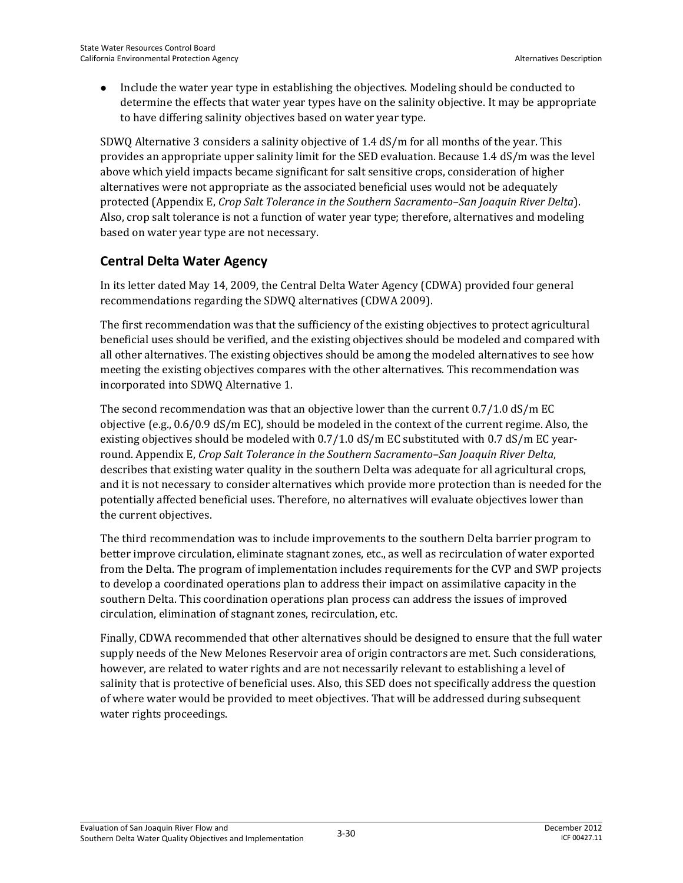• Include the water year type in establishing the objectives. Modeling should be conducted to determine the effects that water year types have on the salinity objective. It may be appropriate to have differing salinity objectives based on water year type.

SDWQ Alternative 3 considers a salinity objective of 1.4 dS/m for all months of the year. This provides an appropriate upper salinity limit for the SED evaluation. Because 1.4 dS/m was the level above which yield impacts became significant for salt sensitive crops, consideration of higher alternatives were not appropriate as the associated beneficial uses would not be adequately protected (Appendix E, *Crop Salt Tolerance in the Southern Sacramento–San Joaquin River Delta*). Also, crop salt tolerance is not a function of water year type; therefore, alternatives and modeling based on water year type are not necessary.

### **Central Delta Water Agency**

In its letter dated May 14, 2009, the Central Delta Water Agency (CDWA) provided four general recommendations regarding the SDWQ alternatives (CDWA 2009).

The first recommendation was that the sufficiency of the existing objectives to protect agricultural beneficial uses should be verified, and the existing objectives should be modeled and compared with all other alternatives. The existing objectives should be among the modeled alternatives to see how meeting the existing objectives compares with the other alternatives. This recommendation was incorporated into SDWQ Alternative 1.

The second recommendation was that an objective lower than the current 0.7/1.0 dS/m EC objective (e.g., 0.6/0.9 dS/m EC), should be modeled in the context of the current regime. Also, the existing objectives should be modeled with  $0.7/1.0$  dS/m EC substituted with 0.7 dS/m EC yearround. Appendix E, *Crop Salt Tolerance in the Southern Sacramento–San Joaquin River Delta*, describes that existing water quality in the southern Delta was adequate for all agricultural crops, and it is not necessary to consider alternatives which provide more protection than is needed for the potentially affected beneficial uses. Therefore, no alternatives will evaluate objectives lower than the current objectives.

The third recommendation was to include improvements to the southern Delta barrier program to better improve circulation, eliminate stagnant zones, etc., as well as recirculation of water exported from the Delta. The program of implementation includes requirements for the CVP and SWP projects to develop a coordinated operations plan to address their impact on assimilative capacity in the southern Delta. This coordination operations plan process can address the issues of improved circulation, elimination of stagnant zones, recirculation, etc.

Finally, CDWA recommended that other alternatives should be designed to ensure that the full water supply needs of the New Melones Reservoir area of origin contractors are met. Such considerations, however, are related to water rights and are not necessarily relevant to establishing a level of salinity that is protective of beneficial uses. Also, this SED does not specifically address the question of where water would be provided to meet objectives. That will be addressed during subsequent water rights proceedings.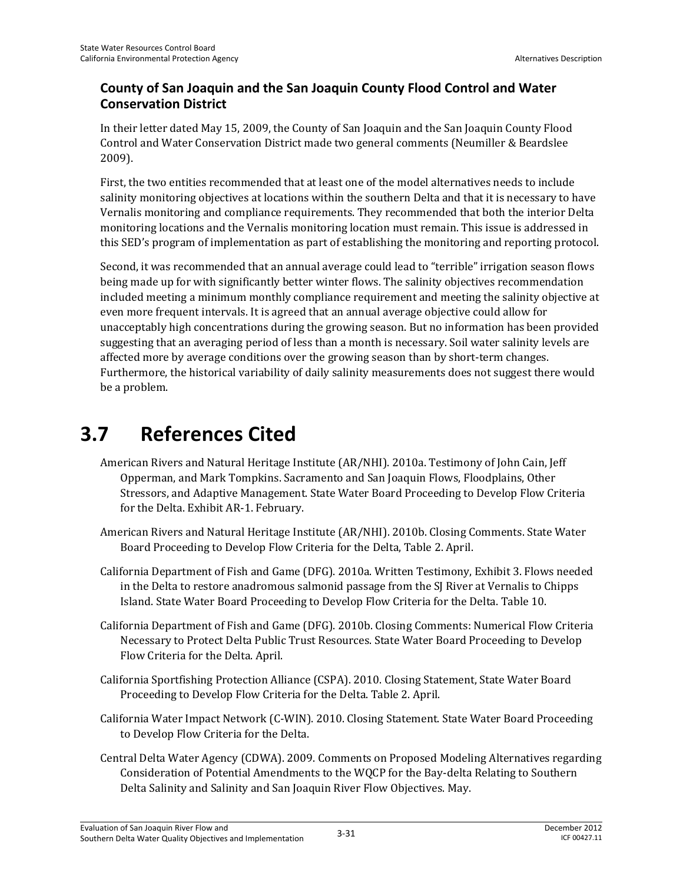### **County of San Joaquin and the San Joaquin County Flood Control and Water Conservation District**

In their letter dated May 15, 2009, the County of San Joaquin and the San Joaquin County Flood Control and Water Conservation District made two general comments (Neumiller & Beardslee 2009).

First, the two entities recommended that at least one of the model alternatives needs to include salinity monitoring objectives at locations within the southern Delta and that it is necessary to have Vernalis monitoring and compliance requirements. They recommended that both the interior Delta monitoring locations and the Vernalis monitoring location must remain. This issue is addressed in this SED's program of implementation as part of establishing the monitoring and reporting protocol.

Second, it was recommended that an annual average could lead to "terrible" irrigation season flows being made up for with significantly better winter flows. The salinity objectives recommendation included meeting a minimum monthly compliance requirement and meeting the salinity objective at even more frequent intervals. It is agreed that an annual average objective could allow for unacceptably high concentrations during the growing season. But no information has been provided suggesting that an averaging period of less than a month is necessary. Soil water salinity levels are affected more by average conditions over the growing season than by short-term changes. Furthermore, the historical variability of daily salinity measurements does not suggest there would be a problem.

# **3.7 References Cited**

- American Rivers and Natural Heritage Institute (AR/NHI). 2010a. Testimony of John Cain, Jeff Opperman, and Mark Tompkins. Sacramento and San Joaquin Flows, Floodplains, Other Stressors, and Adaptive Management. State Water Board Proceeding to Develop Flow Criteria for the Delta. Exhibit AR-1. February.
- American Rivers and Natural Heritage Institute (AR/NHI). 2010b. Closing Comments. State Water Board Proceeding to Develop Flow Criteria for the Delta, Table 2. April.
- California Department of Fish and Game (DFG). 2010a. Written Testimony, Exhibit 3. Flows needed in the Delta to restore anadromous salmonid passage from the SJ River at Vernalis to Chipps Island. State Water Board Proceeding to Develop Flow Criteria for the Delta. Table 10.
- California Department of Fish and Game (DFG). 2010b. Closing Comments: Numerical Flow Criteria Necessary to Protect Delta Public Trust Resources. State Water Board Proceeding to Develop Flow Criteria for the Delta. April.
- California Sportfishing Protection Alliance (CSPA). 2010. Closing Statement, State Water Board Proceeding to Develop Flow Criteria for the Delta. Table 2. April.
- California Water Impact Network (C-WIN). 2010. Closing Statement. State Water Board Proceeding to Develop Flow Criteria for the Delta.
- Central Delta Water Agency (CDWA). 2009. Comments on Proposed Modeling Alternatives regarding Consideration of Potential Amendments to the WQCP for the Bay-delta Relating to Southern Delta Salinity and Salinity and San Joaquin River Flow Objectives. May.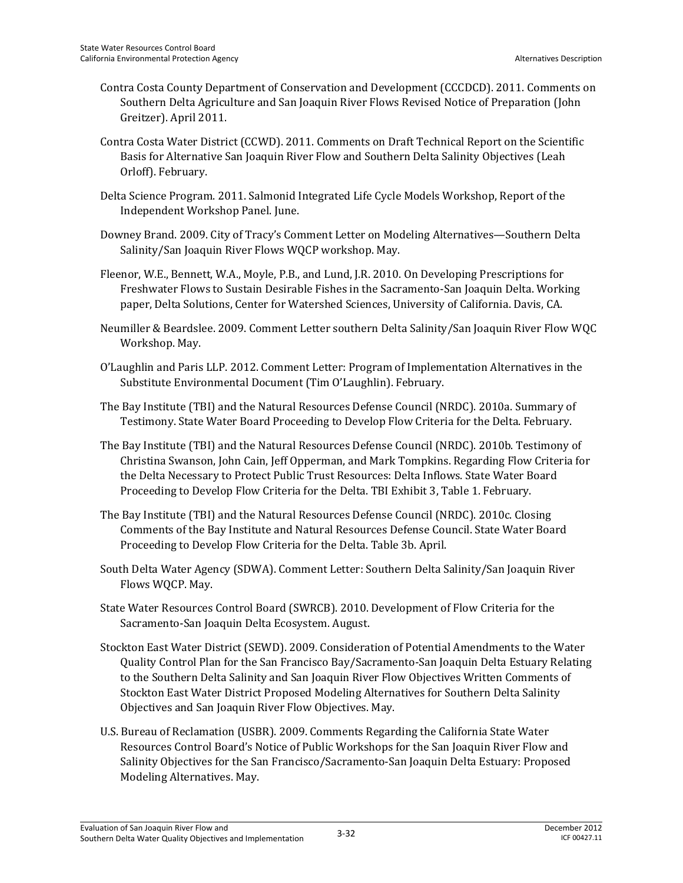- Contra Costa County Department of Conservation and Development (CCCDCD). 2011. Comments on Southern Delta Agriculture and San Joaquin River Flows Revised Notice of Preparation (John Greitzer). April 2011.
- Contra Costa Water District (CCWD). 2011. Comments on Draft Technical Report on the Scientific Basis for Alternative San Joaquin River Flow and Southern Delta Salinity Objectives (Leah Orloff). February.
- Delta Science Program. 2011. Salmonid Integrated Life Cycle Models Workshop, Report of the Independent Workshop Panel. June.
- Downey Brand. 2009. City of Tracy's Comment Letter on Modeling Alternatives—Southern Delta Salinity/San Joaquin River Flows WQCP workshop. May.
- Fleenor, W.E., Bennett, W.A., Moyle, P.B., and Lund, J.R. 2010. On Developing Prescriptions for Freshwater Flows to Sustain Desirable Fishes in the Sacramento-San Joaquin Delta. Working paper, Delta Solutions, Center for Watershed Sciences, University of California. Davis, CA.
- Neumiller & Beardslee. 2009. Comment Letter southern Delta Salinity/San Joaquin River Flow WQC Workshop. May.
- O'Laughlin and Paris LLP. 2012. Comment Letter: Program of Implementation Alternatives in the Substitute Environmental Document (Tim O'Laughlin). February.
- The Bay Institute (TBI) and the Natural Resources Defense Council (NRDC). 2010a. Summary of Testimony. State Water Board Proceeding to Develop Flow Criteria for the Delta. February.
- The Bay Institute (TBI) and the Natural Resources Defense Council (NRDC). 2010b. Testimony of Christina Swanson, John Cain, Jeff Opperman, and Mark Tompkins. Regarding Flow Criteria for the Delta Necessary to Protect Public Trust Resources: Delta Inflows. State Water Board Proceeding to Develop Flow Criteria for the Delta. TBI Exhibit 3, Table 1. February.
- The Bay Institute (TBI) and the Natural Resources Defense Council (NRDC). 2010c. Closing Comments of the Bay Institute and Natural Resources Defense Council. State Water Board Proceeding to Develop Flow Criteria for the Delta. Table 3b. April.
- South Delta Water Agency (SDWA). Comment Letter: Southern Delta Salinity/San Joaquin River Flows WQCP. May.
- State Water Resources Control Board (SWRCB). 2010. Development of Flow Criteria for the Sacramento-San Joaquin Delta Ecosystem. August.
- Stockton East Water District (SEWD). 2009. Consideration of Potential Amendments to the Water Quality Control Plan for the San Francisco Bay/Sacramento-San Joaquin Delta Estuary Relating to the Southern Delta Salinity and San Joaquin River Flow Objectives Written Comments of Stockton East Water District Proposed Modeling Alternatives for Southern Delta Salinity Objectives and San Joaquin River Flow Objectives. May.
- U.S. Bureau of Reclamation (USBR). 2009. Comments Regarding the California State Water Resources Control Board's Notice of Public Workshops for the San Joaquin River Flow and Salinity Objectives for the San Francisco/Sacramento-San Joaquin Delta Estuary: Proposed Modeling Alternatives. May.